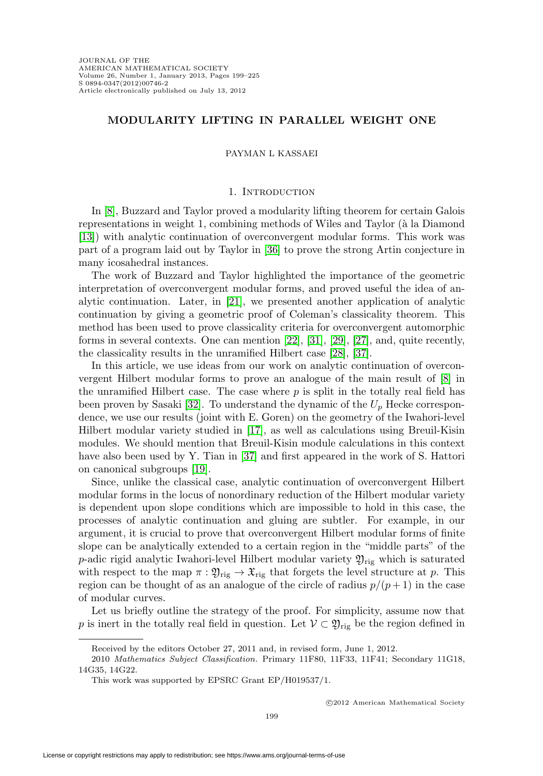# **MODULARITY LIFTING IN PARALLEL WEIGHT ONE**

### PAYMAN L KASSAEI

## 1. INTRODUCTION

In [\[8\]](#page-25-0), Buzzard and Taylor proved a modularity lifting theorem for certain Galois representations in weight 1, combining methods of Wiles and Taylor (à la Diamond [\[13\]](#page-25-1)) with analytic continuation of overconvergent modular forms. This work was part of a program laid out by Taylor in [\[36\]](#page-26-0) to prove the strong Artin conjecture in many icosahedral instances.

The work of Buzzard and Taylor highlighted the importance of the geometric interpretation of overconvergent modular forms, and proved useful the idea of analytic continuation. Later, in [\[21\]](#page-25-2), we presented another application of analytic continuation by giving a geometric proof of Coleman's classicality theorem. This method has been used to prove classicality criteria for overconvergent automorphic forms in several contexts. One can mention [\[22\]](#page-25-3), [\[31\]](#page-25-4), [\[29\]](#page-25-5), [\[27\]](#page-25-6), and, quite recently, the classicality results in the unramified Hilbert case [\[28\]](#page-25-7), [\[37\]](#page-26-1).

In this article, we use ideas from our work on analytic continuation of overconvergent Hilbert modular forms to prove an analogue of the main result of [\[8\]](#page-25-0) in the unramified Hilbert case. The case where  $p$  is split in the totally real field has been proven by Sasaki [\[32\]](#page-25-8). To understand the dynamic of the  $U_p$  Hecke correspondence, we use our results (joint with E. Goren) on the geometry of the Iwahori-level Hilbert modular variety studied in [\[17\]](#page-25-9), as well as calculations using Breuil-Kisin modules. We should mention that Breuil-Kisin module calculations in this context have also been used by Y. Tian in [\[37\]](#page-26-1) and first appeared in the work of S. Hattori on canonical subgroups [\[19\]](#page-25-10).

Since, unlike the classical case, analytic continuation of overconvergent Hilbert modular forms in the locus of nonordinary reduction of the Hilbert modular variety is dependent upon slope conditions which are impossible to hold in this case, the processes of analytic continuation and gluing are subtler. For example, in our argument, it is crucial to prove that overconvergent Hilbert modular forms of finite slope can be analytically extended to a certain region in the "middle parts" of the p-adic rigid analytic Iwahori-level Hilbert modular variety  $\mathfrak{Y}_{\text{rig}}$  which is saturated with respect to the map  $\pi : \mathfrak{Y}_{\text{rig}} \to \mathfrak{X}_{\text{rig}}$  that forgets the level structure at p. This region can be thought of as an analogue of the circle of radius  $p/(p+1)$  in the case of modular curves.

Let us briefly outline the strategy of the proof. For simplicity, assume now that p is inert in the totally real field in question. Let  $V \subset \mathfrak{Y}_{\text{rig}}$  be the region defined in

Received by the editors October 27, 2011 and, in revised form, June 1, 2012.

<sup>2010</sup> Mathematics Subject Classification. Primary 11F80, 11F33, 11F41; Secondary 11G18, 14G35, 14G22.

This work was supported by EPSRC Grant EP/H019537/1.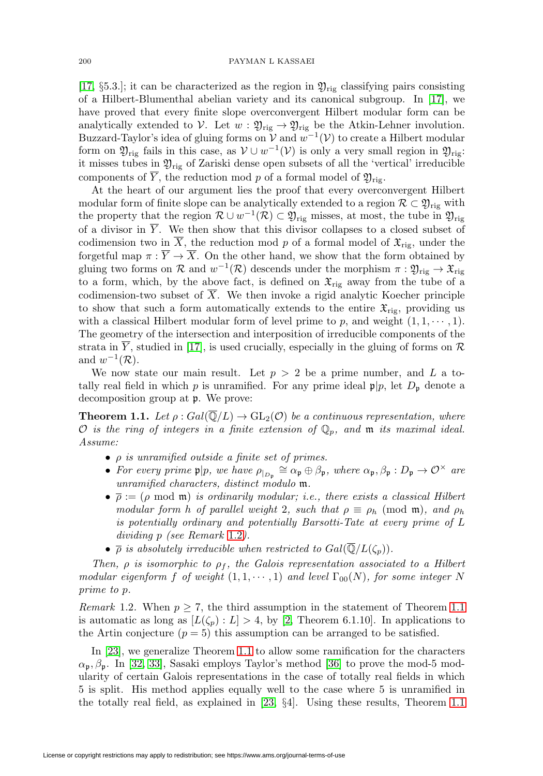[\[17,](#page-25-9) §5.3.]; it can be characterized as the region in  $\mathfrak{Y}_{\text{rig}}$  classifying pairs consisting of a Hilbert-Blumenthal abelian variety and its canonical subgroup. In [\[17\]](#page-25-9), we have proved that every finite slope overconvergent Hilbert modular form can be analytically extended to V. Let  $w : \mathfrak{Y}_{\text{rig}} \to \mathfrak{Y}_{\text{rig}}$  be the Atkin-Lehner involution. Buzzard-Taylor's idea of gluing forms on  $\mathcal V$  and  $w^{-1}(\mathcal V)$  to create a Hilbert modular form on  $\mathfrak{Y}_{\text{rig}}$  fails in this case, as  $\mathcal{V} \cup w^{-1}(\mathcal{V})$  is only a very small region in  $\mathfrak{Y}_{\text{rig}}$ : it misses tubes in  $\mathfrak{Y}_{\text{rig}}$  of Zariski dense open subsets of all the 'vertical' irreducible components of  $\overline{Y}$ , the reduction mod p of a formal model of  $\mathfrak{Y}_{\text{rig}}$ .

At the heart of our argument lies the proof that every overconvergent Hilbert modular form of finite slope can be analytically extended to a region  $\mathcal{R} \subset \mathfrak{Y}_{\text{rig}}$  with the property that the region  $\mathcal{R} \cup w^{-1}(\mathcal{R}) \subset \mathfrak{Y}_{\text{rig}}$  misses, at most, the tube in  $\mathfrak{Y}_{\text{rig}}$ of a divisor in  $\overline{Y}$ . We then show that this divisor collapses to a closed subset of codimension two in  $\overline{X}$ , the reduction mod p of a formal model of  $\mathfrak{X}_{\text{rig}}$ , under the forgetful map  $\pi : \overline{Y} \to \overline{X}$ . On the other hand, we show that the form obtained by gluing two forms on R and  $w^{-1}(\mathcal{R})$  descends under the morphism  $\pi : \mathfrak{Y}_{\text{rig}} \to \mathfrak{X}_{\text{rig}}$ to a form, which, by the above fact, is defined on  $\mathfrak{X}_{\text{rig}}$  away from the tube of a codimension-two subset of  $\overline{X}$ . We then invoke a rigid analytic Koecher principle to show that such a form automatically extends to the entire  $\mathfrak{X}_{\text{rig}}$ , providing us with a classical Hilbert modular form of level prime to p, and weight  $(1, 1, \dots, 1)$ . The geometry of the intersection and interposition of irreducible components of the strata in Y, studied in [\[17\]](#page-25-9), is used crucially, especially in the gluing of forms on  $\mathcal R$ and  $w^{-1}(\mathcal{R})$ .

We now state our main result. Let  $p > 2$  be a prime number, and L a totally real field in which p is unramified. For any prime ideal  $p|p$ , let  $D_p$  denote a decomposition group at p. We prove:

<span id="page-1-1"></span>**Theorem 1.1.** Let  $\rho: Gal(\overline{\mathbb{Q}}/L) \to GL_2(\mathcal{O})$  be a continuous representation, where O is the ring of integers in a finite extension of  $\mathbb{Q}_p$ , and  $\mathfrak{m}$  its maximal ideal. Assume:

- $\bullet$   $\rho$  is unramified outside a finite set of primes.
- For every prime  $\mathfrak{p}|p$ , we have  $\rho_{|_{D_{\mathfrak{p}}}} \cong \alpha_{\mathfrak{p}} \oplus \beta_{\mathfrak{p}}$ , where  $\alpha_{\mathfrak{p}}, \beta_{\mathfrak{p}} : D_{\mathfrak{p}} \to \mathcal{O}^{\times}$  are unramified characters, distinct modulo m.
- $\overline{\rho} := (\rho \mod m)$  is ordinarily modular; i.e., there exists a classical Hilbert modular form h of parallel weight 2, such that  $\rho \equiv \rho_h \pmod{m}$ , and  $\rho_h$ is potentially ordinary and potentially Barsotti-Tate at every prime of L dividing p (see Remark [1.2](#page-1-0)).
- $\overline{\rho}$  is absolutely irreducible when restricted to  $Gal(\overline{\mathbb{Q}}/L(\zeta_p)).$

Then,  $\rho$  is isomorphic to  $\rho_f$ , the Galois representation associated to a Hilbert modular eigenform f of weight  $(1, 1, \dots, 1)$  and level  $\Gamma_{00}(N)$ , for some integer N prime to p.

<span id="page-1-0"></span>*Remark* 1.2. When  $p \geq 7$ , the third assumption in the statement of Theorem [1.1](#page-1-1) is automatic as long as  $[L(\zeta_p):L] > 4$ , by [\[2,](#page-24-0) Theorem 6.1.10]. In applications to the Artin conjecture  $(p = 5)$  this assumption can be arranged to be satisfied.

In [\[23\]](#page-25-11), we generalize Theorem [1.1](#page-1-1) to allow some ramification for the characters  $\alpha_p, \beta_p$ . In [\[32,](#page-25-8) [33\]](#page-25-12), Sasaki employs Taylor's method [\[36\]](#page-26-0) to prove the mod-5 modularity of certain Galois representations in the case of totally real fields in which 5 is split. His method applies equally well to the case where 5 is unramified in the totally real field, as explained in [\[23,](#page-25-11) §4]. Using these results, Theorem [1.1](#page-1-1)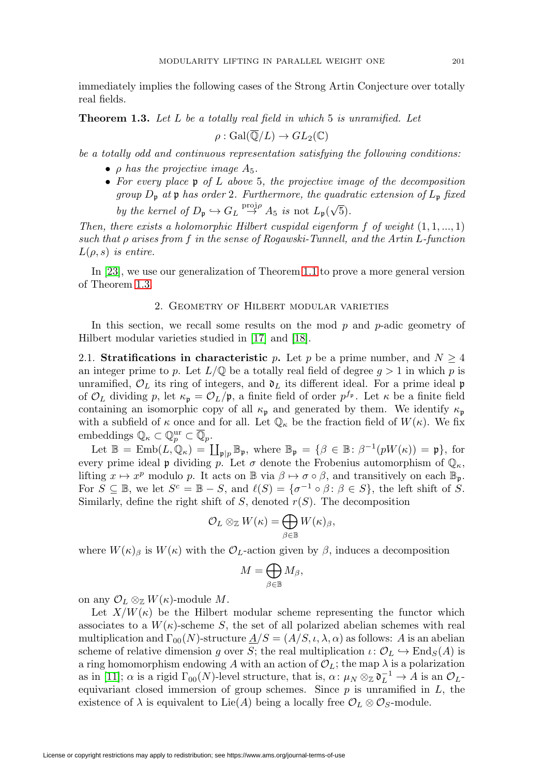immediately implies the following cases of the Strong Artin Conjecture over totally real fields.

<span id="page-2-0"></span>**Theorem 1.3.** Let L be a totally real field in which 5 is unramified. Let

$$
\rho: \operatorname{Gal}(\overline{\mathbb{Q}}/L) \to GL_2(\mathbb{C})
$$

be a totally odd and continuous representation satisfying the following conditions:

- $\rho$  has the projective image  $A_5$ .
- For every place  $\mathfrak p$  of L above 5, the projective image of the decomposition group  $D_{\mathfrak{p}}$  at  $\mathfrak{p}$  has order 2. Furthermore, the quadratic extension of  $L_{\mathfrak{p}}$  fixed by the kernel of  $D_p \hookrightarrow G_L \stackrel{\text{proj}_{\rho}}{\rightarrow} A_5$  is not  $L_p(\sqrt{5})$ .

Then, there exists a holomorphic Hilbert cuspidal eigenform  $f$  of weight  $(1, 1, ..., 1)$ such that  $\rho$  arises from f in the sense of Rogawski-Tunnell, and the Artin L-function  $L(\rho, s)$  is entire.

<span id="page-2-1"></span>In [\[23\]](#page-25-11), we use our generalization of Theorem [1.1](#page-1-1) to prove a more general version of Theorem [1.3.](#page-2-0)

## 2. Geometry of Hilbert modular varieties

In this section, we recall some results on the mod  $p$  and  $p$ -adic geometry of Hilbert modular varieties studied in [\[17\]](#page-25-9) and [\[18\]](#page-25-13).

2.1. **Stratifications in characteristic** p. Let p be a prime number, and  $N \geq 4$ an integer prime to p. Let  $L/\mathbb{Q}$  be a totally real field of degree  $g > 1$  in which p is unramified,  $\mathcal{O}_L$  its ring of integers, and  $\mathfrak{d}_L$  its different ideal. For a prime ideal p of  $\mathcal{O}_L$  dividing p, let  $\kappa_{\mathfrak{p}} = \mathcal{O}_L/\mathfrak{p}$ , a finite field of order  $p^{f_{\mathfrak{p}}}$ . Let  $\kappa$  be a finite field containing an isomorphic copy of all  $\kappa_{\mathfrak{p}}$  and generated by them. We identify  $\kappa_{\mathfrak{p}}$ with a subfield of  $\kappa$  once and for all. Let  $\mathbb{Q}_{\kappa}$  be the fraction field of  $W(\kappa)$ . We fix embeddings  $\mathbb{Q}_{\kappa} \subset \mathbb{Q}_p^{\text{ur}} \subset \overline{\mathbb{Q}}_p$ .

Let  $\mathbb{B} = \text{Emb}(L, \mathbb{Q}_\kappa) = \coprod_{\mathfrak{p} \mid p} \mathbb{B}_{\mathfrak{p}}$ , where  $\mathbb{B}_{\mathfrak{p}} = \{\beta \in \mathbb{B} : \beta^{-1}(pW(\kappa)) = \mathfrak{p}\},\$  for every prime ideal p dividing p. Let  $\sigma$  denote the Frobenius automorphism of  $\mathbb{Q}_{\kappa}$ , lifting  $x \mapsto x^p$  modulo p. It acts on  $\mathbb{B}$  via  $\beta \mapsto \sigma \circ \beta$ , and transitively on each  $\mathbb{B}_{\mathfrak{p}}$ . For  $S \subseteq \mathbb{B}$ , we let  $S^c = \mathbb{B} - S$ , and  $\ell(S) = \{ \sigma^{-1} \circ \beta : \beta \in S \}$ , the left shift of S. Similarly, define the right shift of  $S$ , denoted  $r(S)$ . The decomposition

$$
\mathcal{O}_L \otimes_{\mathbb{Z}} W(\kappa) = \bigoplus_{\beta \in \mathbb{B}} W(\kappa)_{\beta},
$$

where  $W(\kappa)_{\beta}$  is  $W(\kappa)$  with the  $\mathcal{O}_L$ -action given by  $\beta$ , induces a decomposition

$$
M=\bigoplus_{\beta\in\mathbb{B}}M_{\beta},
$$

on any  $\mathcal{O}_L \otimes_{\mathbb{Z}} W(\kappa)$ -module M.

Let  $X/W(\kappa)$  be the Hilbert modular scheme representing the functor which associates to a  $W(\kappa)$ -scheme S, the set of all polarized abelian schemes with real multiplication and  $\Gamma_{00}(N)$ -structure  $\underline{A}/S = (A/S, \iota, \lambda, \alpha)$  as follows: A is an abelian scheme of relative dimension g over S; the real multiplication  $\iota \colon \mathcal{O}_L \hookrightarrow \text{End}_{S}(A)$  is a ring homomorphism endowing A with an action of  $\mathcal{O}_L$ ; the map  $\lambda$  is a polarization as in [\[11\]](#page-25-14);  $\alpha$  is a rigid  $\Gamma_{00}(N)$ -level structure, that is,  $\alpha$ :  $\mu_N \otimes_{\mathbb{Z}} \mathfrak{d}_L^{-1} \to A$  is an  $\mathcal{O}_L$ equivariant closed immersion of group schemes. Since  $p$  is unramified in  $L$ , the existence of  $\lambda$  is equivalent to Lie(A) being a locally free  $\mathcal{O}_L \otimes \mathcal{O}_S$ -module.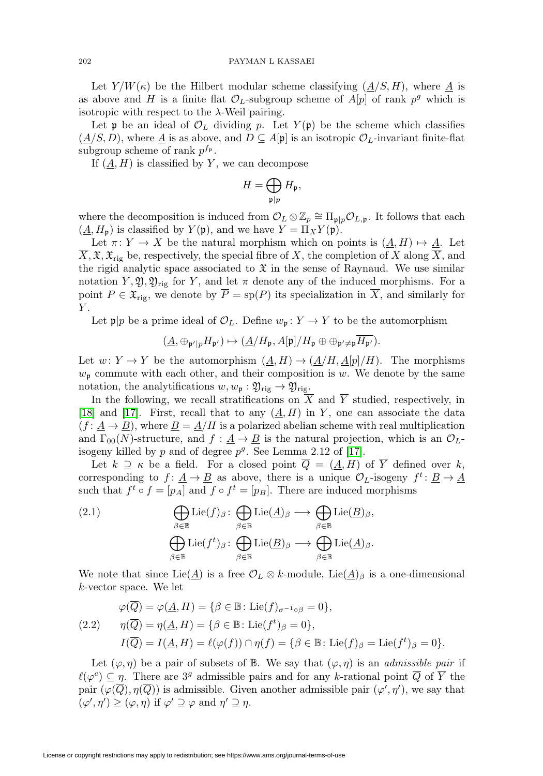Let  $Y/W(\kappa)$  be the Hilbert modular scheme classifying  $(\underline{A}/S, H)$ , where  $\underline{A}$  is as above and H is a finite flat  $\mathcal{O}_L$ -subgroup scheme of  $A[p]$  of rank  $p^g$  which is isotropic with respect to the  $\lambda$ -Weil pairing.

Let **p** be an ideal of  $\mathcal{O}_L$  dividing p. Let  $Y(\mathfrak{p})$  be the scheme which classifies  $(\underline{A}/S, D)$ , where  $\underline{A}$  is as above, and  $D \subseteq A[\mathfrak{p}]$  is an isotropic  $\mathcal{O}_L$ -invariant finite-flat subgroup scheme of rank  $p^{f_p}$ .

If  $(\underline{A}, H)$  is classified by Y, we can decompose

$$
H=\bigoplus_{\mathfrak{p}|p}H_{\mathfrak{p}},
$$

where the decomposition is induced from  $\mathcal{O}_L \otimes \mathbb{Z}_p \cong \Pi_{\mathfrak{p}|p} \mathcal{O}_{L,\mathfrak{p}}$ . It follows that each  $(\underline{A}, H_{\mathfrak{p}})$  is classified by  $Y(\mathfrak{p})$ , and we have  $Y = \Pi_X Y(\mathfrak{p})$ .

Let  $\pi: Y \to X$  be the natural morphism which on points is  $(\underline{A}, H) \mapsto \underline{A}$ . Let  $X, \mathfrak{X}, \mathfrak{X}_{\text{rig}}$  be, respectively, the special fibre of X, the completion of X along X, and the rigid analytic space associated to  $\mathfrak X$  in the sense of Raynaud. We use similar notation  $Y, \mathfrak{Y}, \mathfrak{Y}_{\text{rig}}$  for Y, and let  $\pi$  denote any of the induced morphisms. For a point  $P \in \mathfrak{X}_{\text{rig}}$ , we denote by  $\overline{P} = \text{sp}(P)$  its specialization in  $\overline{X}$ , and similarly for  $Y$ .

Let  $\mathfrak{p}|p$  be a prime ideal of  $\mathcal{O}_L$ . Define  $w_{\mathfrak{p}}: Y \to Y$  to be the automorphism

$$
(\underline{A}, \oplus_{\mathfrak{p}'|p} H_{\mathfrak{p}'}) \mapsto (\underline{A}/H_{\mathfrak{p}}, A[\mathfrak{p}]/H_{\mathfrak{p}} \oplus \oplus_{\mathfrak{p}' \neq \mathfrak{p}} \overline{H_{\mathfrak{p}'}}).
$$

Let  $w: Y \to Y$  be the automorphism  $(A, H) \to (A/H, A[p]/H)$ . The morphisms  $w_{p}$  commute with each other, and their composition is w. We denote by the same notation, the analytifications  $w, w_{\mathfrak{p}} : \mathfrak{Y}_{\mathrm{rig}} \to \mathfrak{Y}_{\mathrm{rig}}$ .

In the following, we recall stratifications on  $\overline{X}$  and  $\overline{Y}$  studied, respectively, in [\[18\]](#page-25-13) and [\[17\]](#page-25-9). First, recall that to any  $(A, H)$  in Y, one can associate the data  $(f: \underline{A} \rightarrow \underline{B})$ , where  $\underline{B} = \underline{A}/H$  is a polarized abelian scheme with real multiplication and  $\Gamma_{00}(N)$ -structure, and  $f: \underline{A} \to \underline{B}$  is the natural projection, which is an  $\mathcal{O}_L$ isogeny killed by p and of degree  $p^g$ . See Lemma 2.12 of [\[17\]](#page-25-9).

Let  $k \supseteq \kappa$  be a field. For a closed point  $\overline{Q} = (\underline{A}, H)$  of  $\overline{Y}$  defined over k, corresponding to  $f: \underline{A} \to \underline{B}$  as above, there is a unique  $\mathcal{O}_L$ -isogeny  $f^t: \underline{B} \to \underline{A}$ such that  $f^t \circ f = [p_A]$  and  $f \circ f^t = [p_B]$ . There are induced morphisms

(2.1) 
$$
\bigoplus_{\beta \in \mathbb{B}} \mathrm{Lie}(f)_{\beta} : \bigoplus_{\beta \in \mathbb{B}} \mathrm{Lie}(\underline{A})_{\beta} \longrightarrow \bigoplus_{\beta \in \mathbb{B}} \mathrm{Lie}(\underline{B})_{\beta},
$$

$$
\bigoplus_{\beta \in \mathbb{B}} \mathrm{Lie}(f^{\dagger})_{\beta} : \bigoplus_{\beta \in \mathbb{B}} \mathrm{Lie}(\underline{B})_{\beta} \longrightarrow \bigoplus_{\beta \in \mathbb{B}} \mathrm{Lie}(\underline{A})_{\beta}.
$$

We note that since Lie( $\underline{A}$ ) is a free  $\mathcal{O}_L \otimes k$ -module, Lie( $\underline{A}$ )<sub>β</sub> is a one-dimensional k-vector space. We let

<span id="page-3-0"></span>
$$
\varphi(\overline{Q}) = \varphi(\underline{A}, H) = \{ \beta \in \mathbb{B} \colon \text{Lie}(f)_{\sigma^{-1} \circ \beta} = 0 \},
$$
  
(2.2) 
$$
\eta(\overline{Q}) = \eta(\underline{A}, H) = \{ \beta \in \mathbb{B} \colon \text{Lie}(f^t)_{\beta} = 0 \},
$$

$$
I(\overline{Q}) = I(\underline{A}, H) = \ell(\varphi(f)) \cap \eta(f) = \{ \beta \in \mathbb{B} \colon \text{Lie}(f)_{\beta} = \text{Lie}(f^t)_{\beta} = 0 \}.
$$

Let  $(\varphi, \eta)$  be a pair of subsets of B. We say that  $(\varphi, \eta)$  is an *admissible pair* if  $\ell(\varphi^c) \subseteq \eta$ . There are 3<sup>g</sup> admissible pairs and for any k-rational point  $\overline{Q}$  of  $\overline{Y}$  the pair  $(\varphi(\overline{Q}), \eta(\overline{Q}))$  is admissible. Given another admissible pair  $(\varphi', \eta')$ , we say that  $(\varphi', \eta') \geq (\varphi, \eta)$  if  $\varphi' \supseteq \varphi$  and  $\eta' \supseteq \eta$ .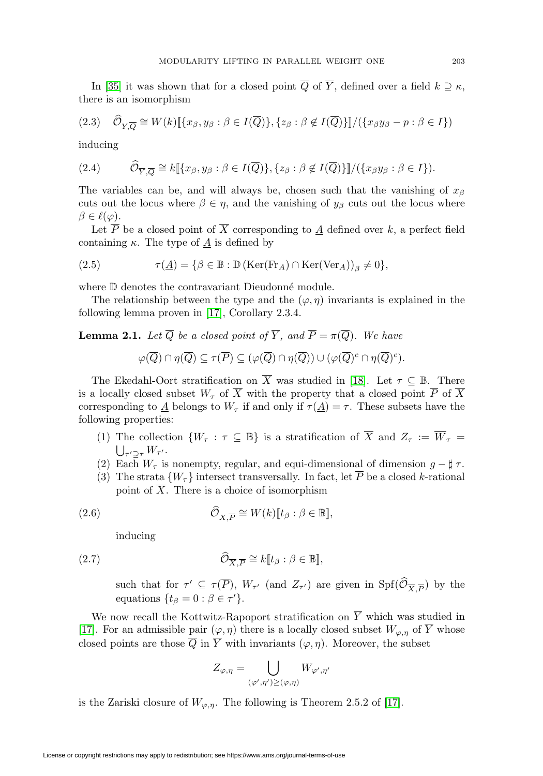In [\[35\]](#page-26-2) it was shown that for a closed point  $\overline{Q}$  of  $\overline{Y}$ , defined over a field  $k \supseteq \kappa$ , there is an isomorphism

<span id="page-4-2"></span>
$$
(2.3) \quad \widehat{\mathcal{O}}_{Y,\overline{Q}} \cong W(k)[\{x_{\beta}, y_{\beta} : \beta \in I(\overline{Q})\}, \{z_{\beta} : \beta \notin I(\overline{Q})\}]/(\{x_{\beta}y_{\beta} - p : \beta \in I\})
$$

inducing

<span id="page-4-1"></span>
$$
(2.4) \qquad \widehat{\mathcal{O}}_{\overline{Y},\overline{Q}} \cong k[\{x_{\beta},y_{\beta}:\beta\in I(\overline{Q})\},\{z_{\beta}:\beta\not\in I(\overline{Q})\}]/(\{x_{\beta}y_{\beta}:\beta\in I\}).
$$

The variables can be, and will always be, chosen such that the vanishing of  $x_\beta$ cuts out the locus where  $\beta \in \eta$ , and the vanishing of  $y_{\beta}$  cuts out the locus where  $\beta\in\ell(\varphi).$ 

Let  $\overline{P}$  be a closed point of  $\overline{X}$  corresponding to  $\underline{A}$  defined over k, a perfect field containing  $\kappa$ . The type of  $\underline{A}$  is defined by

(2.5) 
$$
\tau(\underline{A}) = \{ \beta \in \mathbb{B} : \mathbb{D}(\text{Ker}(\text{Fr}_A) \cap \text{Ker}(\text{Ver}_A))_{\beta} \neq 0 \},
$$

where  $\mathbb D$  denotes the contravariant Dieudonné module.

The relationship between the type and the  $(\varphi, \eta)$  invariants is explained in the following lemma proven in [\[17\]](#page-25-9), Corollary 2.3.4.

# <span id="page-4-3"></span>**Lemma 2.1.** Let  $\overline{Q}$  be a closed point of  $\overline{Y}$ , and  $\overline{P} = \pi(\overline{Q})$ . We have

$$
\varphi(\overline{Q}) \cap \eta(\overline{Q}) \subseteq \tau(\overline{P}) \subseteq (\varphi(\overline{Q}) \cap \eta(\overline{Q})) \cup (\varphi(\overline{Q})^c \cap \eta(\overline{Q})^c).
$$

The Ekedahl-Oort stratification on  $\overline{X}$  was studied in [\[18\]](#page-25-13). Let  $\tau \subseteq \mathbb{B}$ . There is a locally closed subset  $W_{\tau}$  of  $\overline{X}$  with the property that a closed point  $\overline{P}$  of  $\overline{X}$ corresponding to A belongs to  $W_{\tau}$  if and only if  $\tau(A) = \tau$ . These subsets have the following properties:

- (1) The collection  $\{W_\tau : \tau \subseteq \mathbb{B}\}\$ is a stratification of  $\overline{X}$  and  $Z_\tau := \overline{W}_\tau =$  $_{\tau'\supseteq\tau}W_{\tau'}.$
- (2) Each  $W_{\tau}$  is nonempty, regular, and equi-dimensional of dimension  $g \sharp \tau$ .
- (3) The strata  $\{W_\tau\}$  intersect transversally. In fact, let  $\overline{P}$  be a closed k-rational point of  $\overline{X}$ . There is a choice of isomorphism

<span id="page-4-0"></span>(2.6) 
$$
\widehat{\mathcal{O}}_{X,\overline{P}} \cong W(k)[\![t_{\beta} : \beta \in \mathbb{B}]\!],
$$

inducing

(2.7) 
$$
\widehat{\mathcal{O}}_{\overline{X},\overline{P}} \cong k[\![t_{\beta}:\beta\in\mathbb{B}]\!],
$$

such that for  $\tau' \subseteq \tau(\overline{P})$ ,  $W_{\tau'}$  (and  $Z_{\tau'}$ ) are given in  $Spf(\mathcal{O}_{\overline{X},\overline{P}})$  by the equations  $\{t_\beta = 0 : \beta \in \tau'\}.$ 

We now recall the Kottwitz-Rapoport stratification on  $\overline{Y}$  which was studied in [\[17\]](#page-25-9). For an admissible pair  $(\varphi, \eta)$  there is a locally closed subset  $W_{\varphi, \eta}$  of  $\overline{Y}$  whose closed points are those  $\overline{Q}$  in  $\overline{Y}$  with invariants  $(\varphi, \eta)$ . Moreover, the subset

$$
Z_{\varphi,\eta}=\bigcup_{(\varphi',\eta')\geq(\varphi,\eta)}W_{\varphi',\eta'}
$$

is the Zariski closure of  $W_{\varphi,\eta}$ . The following is Theorem 2.5.2 of [\[17\]](#page-25-9).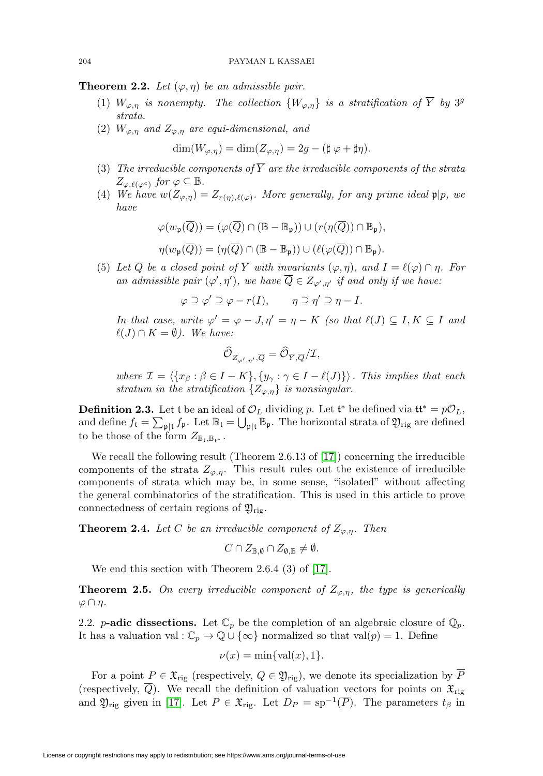<span id="page-5-2"></span>**Theorem 2.2.** Let  $(\varphi, \eta)$  be an admissible pair.

- (1)  $W_{\varphi,\eta}$  is nonempty. The collection  $\{W_{\varphi,\eta}\}$  is a stratification of  $\overline{Y}$  by  $3^g$ strata.
- (2)  $W_{\varphi,n}$  and  $Z_{\varphi,n}$  are equi-dimensional, and

$$
\dim(W_{\varphi,\eta}) = \dim(Z_{\varphi,\eta}) = 2g - (\sharp \varphi + \sharp \eta).
$$

- (3) The irreducible components of  $\overline{Y}$  are the irreducible components of the strata  $Z_{\varphi,\ell(\varphi^c)}$  for  $\varphi \subseteq \mathbb{B}$ .
- (4) We have  $w(Z_{\varphi,\eta}) = Z_{r(\eta),\ell(\varphi)}$ . More generally, for any prime ideal  $\mathfrak{p}|p$ , we have

$$
\varphi(w_{\mathfrak{p}}(\overline{Q})) = (\varphi(\overline{Q}) \cap (\mathbb{B} - \mathbb{B}_{\mathfrak{p}})) \cup (r(\eta(\overline{Q})) \cap \mathbb{B}_{\mathfrak{p}}),
$$
  

$$
\eta(w_{\mathfrak{p}}(\overline{Q})) = (\eta(\overline{Q}) \cap (\mathbb{B} - \mathbb{B}_{\mathfrak{p}})) \cup (\ell(\varphi(\overline{Q})) \cap \mathbb{B}_{\mathfrak{p}}).
$$

(5) Let Q be a closed point of Y with invariants  $(\varphi, \eta)$ , and  $I = \ell(\varphi) \cap \eta$ . For an admissible pair  $(\varphi', \eta')$ , we have  $\overline{Q} \in Z_{\varphi', \eta'}$  if and only if we have:

$$
\varphi \supseteq \varphi' \supseteq \varphi - r(I), \qquad \eta \supseteq \eta' \supseteq \eta - I.
$$

In that case, write  $\varphi' = \varphi - J, \eta' = \eta - K$  (so that  $\ell(J) \subseteq I, K \subseteq I$  and  $\ell(J) \cap K = \emptyset$ ). We have:

$$
\widehat{\mathcal{O}}_{Z_{\varphi',\eta'},\overline{Q}}=\widehat{\mathcal{O}}_{\overline{Y},\overline{Q}}/\mathcal{I},
$$

where  $\mathcal{I} = \langle \{x_\beta : \beta \in I - K\}, \{y_\gamma : \gamma \in I - \ell(J)\}\rangle$ . This implies that each stratum in the stratification  $\{Z_{\varphi,\eta}\}\$  is nonsingular.

<span id="page-5-0"></span>**Definition 2.3.** Let t be an ideal of  $\mathcal{O}_L$  dividing p. Let t<sup>\*</sup> be defined via tt<sup>\*</sup> =  $p\mathcal{O}_L$ , and define  $f_t = \sum_{\mathfrak{p}|\mathfrak{t}} f_{\mathfrak{p}}$ . Let  $\mathbb{B}_{\mathfrak{t}} = \bigcup_{\mathfrak{p}|\mathfrak{t}} \mathbb{B}_{\mathfrak{p}}$ . The horizontal strata of  $\mathfrak{Y}_{\mathrm{rig}}$  are defined to be those of the form  $Z_{\mathbb{B}_t,\mathbb{B}_t*}$ .

We recall the following result (Theorem 2.6.13 of  $[17]$ ) concerning the irreducible components of the strata  $Z_{\varphi,\eta}$ . This result rules out the existence of irreducible components of strata which may be, in some sense, "isolated" without affecting the general combinatorics of the stratification. This is used in this article to prove connectedness of certain regions of  $\mathfrak{Y}_{\text{rig}}$ .

<span id="page-5-1"></span>**Theorem 2.4.** Let C be an irreducible component of  $Z_{\varphi,n}$ . Then

 $C \cap Z_{\mathbb{B},\emptyset} \cap Z_{\emptyset,\mathbb{R}} \neq \emptyset.$ 

We end this section with Theorem 2.6.4 (3) of [\[17\]](#page-25-9).

<span id="page-5-3"></span>**Theorem 2.5.** On every irreducible component of  $Z_{\varphi,\eta}$ , the type is generically  $\varphi \cap \eta$ .

2.2. **p-adic dissections.** Let  $\mathbb{C}_p$  be the completion of an algebraic closure of  $\mathbb{Q}_p$ . It has a valuation val :  $\mathbb{C}_p \to \mathbb{Q} \cup {\infty}$  normalized so that val $(p) = 1$ . Define

$$
\nu(x) = \min\{\text{val}(x), 1\}.
$$

For a point  $P \in \mathfrak{X}_{\text{rig}}$  (respectively,  $Q \in \mathfrak{Y}_{\text{rig}}$ ), we denote its specialization by  $\overline{P}$ (respectively, Q). We recall the definition of valuation vectors for points on  $\mathfrak{X}_{\text{rig}}$ and  $\mathfrak{Y}_{\text{rig}}$  given in [\[17\]](#page-25-9). Let  $P \in \mathfrak{X}_{\text{rig}}$ . Let  $D_P = \text{sp}^{-1}(\overline{P})$ . The parameters  $t_\beta$  in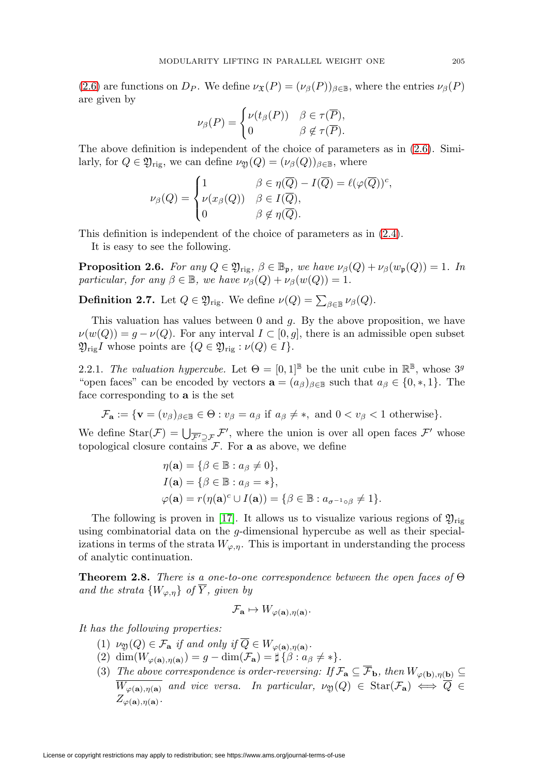[\(2.6\)](#page-4-0) are functions on  $D_P$ . We define  $\nu_{\mathfrak{X}}(P)=(\nu_{\beta}(P))_{\beta\in\mathbb{B}}$ , where the entries  $\nu_{\beta}(P)$ are given by

$$
\nu_{\beta}(P) = \begin{cases} \nu(t_{\beta}(P)) & \beta \in \tau(\overline{P}), \\ 0 & \beta \notin \tau(\overline{P}). \end{cases}
$$

The above definition is independent of the choice of parameters as in [\(2.6\)](#page-4-0). Similarly, for  $Q \in \mathfrak{Y}_{\text{rig}}$ , we can define  $\nu_{\mathfrak{Y}}(Q)=(\nu_{\beta}(Q))_{\beta\in\mathbb{B}}$ , where

$$
\nu_{\beta}(Q) = \begin{cases} 1 & \beta \in \eta(\overline{Q}) - I(\overline{Q}) = \ell(\varphi(\overline{Q}))^c, \\ \nu(x_{\beta}(Q)) & \beta \in I(\overline{Q}), \\ 0 & \beta \notin \eta(\overline{Q}). \end{cases}
$$

This definition is independent of the choice of parameters as in [\(2.4\)](#page-4-1).

It is easy to see the following.

<span id="page-6-0"></span>**Proposition 2.6.** For any  $Q \in \mathfrak{Y}_{\text{rig}}, \beta \in \mathbb{B}_{\mathfrak{p}},$  we have  $\nu_{\beta}(Q) + \nu_{\beta}(w_{\mathfrak{p}}(Q)) = 1$ . In particular, for any  $\beta \in \mathbb{B}$ , we have  $\nu_{\beta}(Q) + \nu_{\beta}(w(Q)) = 1$ .

<span id="page-6-1"></span>**Definition 2.7.** Let  $Q \in \mathfrak{Y}_{\text{rig}}$ . We define  $\nu(Q) = \sum_{\beta \in \mathbb{B}} \nu_{\beta}(Q)$ .

This valuation has values between  $0$  and  $g$ . By the above proposition, we have  $\nu(w(Q)) = g - \nu(Q)$ . For any interval  $I \subset [0, g]$ , there is an admissible open subset  $\mathfrak{Y}_{\text{rig}}I$  whose points are  $\{Q \in \mathfrak{Y}_{\text{rig}} : \nu(Q) \in I\}.$ 

2.2.1. The valuation hypercube. Let  $\Theta = [0, 1]^{\mathbb{B}}$  be the unit cube in  $\mathbb{R}^{\mathbb{B}}$ , whose  $3^g$ "open faces" can be encoded by vectors  $\mathbf{a} = (a_{\beta})_{\beta \in \mathbb{B}}$  such that  $a_{\beta} \in \{0, \ast, 1\}$ . The face corresponding to **a** is the set

$$
\mathcal{F}_{\mathbf{a}} := \{ \mathbf{v} = (v_{\beta})_{\beta \in \mathbb{B}} \in \Theta : v_{\beta} = a_{\beta} \text{ if } a_{\beta} \neq *, \text{ and } 0 < v_{\beta} < 1 \text{ otherwise} \}.
$$

We define  $\text{Star}(\mathcal{F}) = \bigcup_{\mathcal{F}' \supseteq \mathcal{F}} \mathcal{F}'$ , where the union is over all open faces  $\mathcal{F}'$  whose topological closure contains  $\mathcal F$ . For **a** as above, we define

$$
\eta(\mathbf{a}) = \{ \beta \in \mathbb{B} : a_{\beta} \neq 0 \},
$$
  
\n
$$
I(\mathbf{a}) = \{ \beta \in \mathbb{B} : a_{\beta} = * \},
$$
  
\n
$$
\varphi(\mathbf{a}) = r(\eta(\mathbf{a})^c \cup I(\mathbf{a})) = \{ \beta \in \mathbb{B} : a_{\sigma^{-1} \circ \beta} \neq 1 \}.
$$

The following is proven in [\[17\]](#page-25-9). It allows us to visualize various regions of  $\mathfrak{Y}_{\text{rig}}$ using combinatorial data on the g-dimensional hypercube as well as their specializations in terms of the strata  $W_{\varphi,\eta}$ . This is important in understanding the process of analytic continuation.

<span id="page-6-2"></span>**Theorem 2.8.** There is a one-to-one correspondence between the open faces of  $\Theta$ and the strata  $\{W_{\varphi,\eta}\}\;$  of  $\overline{Y}$ , given by

$$
\mathcal{F}_{\mathbf{a}} \mapsto W_{\varphi(\mathbf{a}), \eta(\mathbf{a})}.
$$

It has the following properties:

- (1)  $\nu_{\mathfrak{Y}}(Q) \in \mathcal{F}_a$  if and only if  $\overline{Q} \in W_{\varphi(a), \eta(a)}$ .
- (2) dim $(W_{\varphi(\mathbf{a}), \eta(\mathbf{a})}) = g \dim(\mathcal{F}_{\mathbf{a}}) = \sharp \{\beta : a_{\beta} \neq * \}.$
- (3) The above correspondence is order-reversing: If  $\mathcal{F}_a \subseteq \overline{\mathcal{F}}_b$ , then  $W_{\varphi(b),\eta(b)} \subseteq$  $\overline{W_{\varphi(\mathbf{a}),\eta(\mathbf{a})}}$  and vice versa. In particular,  $\nu_{\mathfrak{Y}}(Q) \in \text{Star}(\mathcal{F}_{\mathbf{a}}) \iff \overline{Q} \in$  $Z_{\varphi(\mathbf{a}),\eta(\mathbf{a})}$ .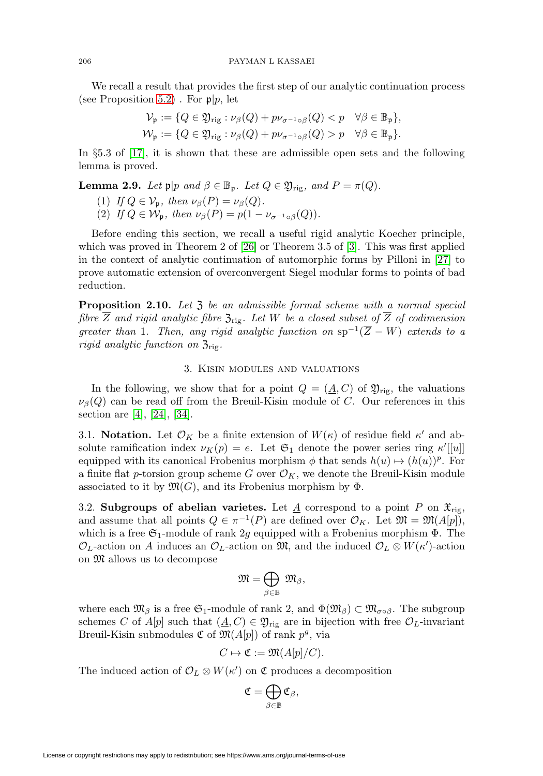We recall a result that provides the first step of our analytic continuation process (see Proposition [5.2\)](#page-12-0). For  $\mathfrak{p}|p$ , let

$$
\mathcal{V}_{\mathfrak{p}} := \{ Q \in \mathfrak{Y}_{\mathrm{rig}} : \nu_{\beta}(Q) + p\nu_{\sigma^{-1}\circ\beta}(Q) < p \quad \forall \beta \in \mathbb{B}_{\mathfrak{p}} \},
$$
\n
$$
\mathcal{W}_{\mathfrak{p}} := \{ Q \in \mathfrak{Y}_{\mathrm{rig}} : \nu_{\beta}(Q) + p\nu_{\sigma^{-1}\circ\beta}(Q) > p \quad \forall \beta \in \mathbb{B}_{\mathfrak{p}} \}.
$$

In §5.3 of [\[17\]](#page-25-9), it is shown that these are admissible open sets and the following lemma is proved.

<span id="page-7-0"></span>**Lemma 2.9.** Let  $\mathfrak{p}|p$  and  $\beta \in \mathbb{B}_{\mathfrak{p}}$ . Let  $Q \in \mathfrak{Y}_{\text{rig}}$ , and  $P = \pi(Q)$ .

- (1) If  $Q \in \mathcal{V}_{\mathfrak{p}}$ , then  $\nu_{\beta}(P) = \nu_{\beta}(Q)$ .
- (2) If  $Q \in \mathcal{W}_{\mathfrak{p}}$ , then  $\nu_{\beta}(P) = p(1 \nu_{\sigma^{-1} \circ \beta}(Q)).$

Before ending this section, we recall a useful rigid analytic Koecher principle, which was proved in Theorem 2 of [\[26\]](#page-25-15) or Theorem 3.5 of [\[3\]](#page-24-1). This was first applied in the context of analytic continuation of automorphic forms by Pilloni in [\[27\]](#page-25-6) to prove automatic extension of overconvergent Siegel modular forms to points of bad reduction.

**Proposition 2.10.** Let  $\mathfrak{Z}$  be an admissible formal scheme with a normal special fibre  $\overline{Z}$  and rigid analytic fibre  $\mathfrak{Z}_{\text{rig}}$ . Let W be a closed subset of  $\overline{Z}$  of codimension greater than 1. Then, any rigid analytic function on  $sp^{-1}(\overline{Z} - W)$  extends to a rigid analytic function on  $\mathfrak{Z}_{\text{rig}}$ .

### 3. Kisin modules and valuations

<span id="page-7-1"></span>In the following, we show that for a point  $Q = (\underline{A}, C)$  of  $\mathfrak{Y}_{\text{rig}}$ , the valuations  $\nu_{\beta}(Q)$  can be read off from the Breuil-Kisin module of C. Our references in this section are [\[4\]](#page-25-16), [\[24\]](#page-25-17), [\[34\]](#page-26-3).

3.1. **Notation.** Let  $\mathcal{O}_K$  be a finite extension of  $W(\kappa)$  of residue field  $\kappa'$  and absolute ramification index  $\nu_K(p) = e$ . Let  $\mathfrak{S}_1$  denote the power series ring  $\kappa'[[u]]$ equipped with its canonical Frobenius morphism  $\phi$  that sends  $h(u) \mapsto (h(u))^p$ . For a finite flat p-torsion group scheme G over  $\mathcal{O}_K$ , we denote the Breuil-Kisin module associated to it by  $\mathfrak{M}(G)$ , and its Frobenius morphism by  $\Phi$ .

3.2. **Subgroups of abelian varietes.** Let  $\underline{A}$  correspond to a point P on  $\mathfrak{X}_{\text{rig}}$ , and assume that all points  $Q \in \pi^{-1}(P)$  are defined over  $\mathcal{O}_K$ . Let  $\mathfrak{M} = \mathfrak{M}(A[p]),$ which is a free  $\mathfrak{S}_1$ -module of rank 2g equipped with a Frobenius morphism  $\Phi$ . The  $\mathcal{O}_L$ -action on A induces an  $\mathcal{O}_L$ -action on  $\mathfrak{M}$ , and the induced  $\mathcal{O}_L \otimes W(\kappa')$ -action on M allows us to decompose

$$
\mathfrak{M}=\bigoplus_{\beta\in\mathbb{B}}\ \mathfrak{M}_{\beta},
$$

where each  $\mathfrak{M}_{\beta}$  is a free  $\mathfrak{S}_1$ -module of rank 2, and  $\Phi(\mathfrak{M}_{\beta}) \subset \mathfrak{M}_{\sigma \circ \beta}$ . The subgroup schemes C of A[p] such that  $(\underline{A}, C) \in \mathfrak{Y}_{\text{rig}}$  are in bijection with free  $\mathcal{O}_L$ -invariant Breuil-Kisin submodules  $\mathfrak{C}$  of  $\mathfrak{M}(A[p])$  of rank  $p^g$ , via

$$
C \mapsto \mathfrak{C} := \mathfrak{M}(A[p]/C).
$$

The induced action of  $\mathcal{O}_L \otimes W(\kappa')$  on  $\mathfrak C$  produces a decomposition

$$
\mathfrak{C}=\bigoplus_{\beta\in\mathbb{B}}\mathfrak{C}_{\beta},
$$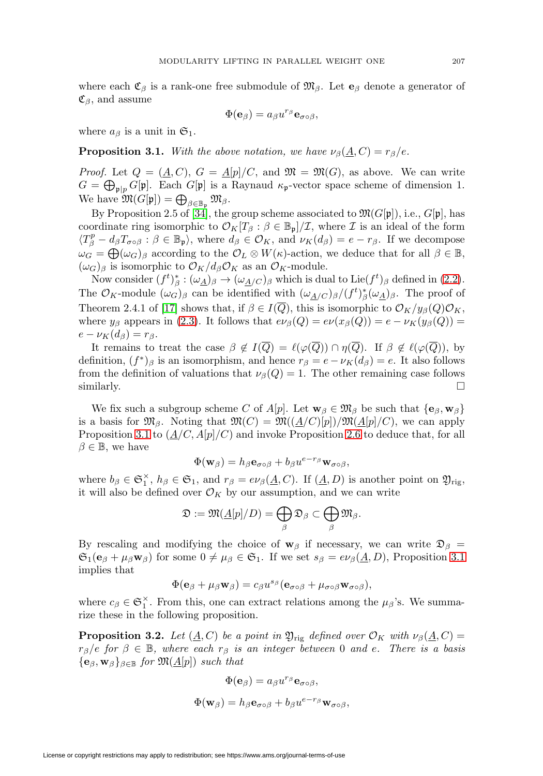where each  $\mathfrak{C}_{\beta}$  is a rank-one free submodule of  $\mathfrak{M}_{\beta}$ . Let  $\mathbf{e}_{\beta}$  denote a generator of  $\mathfrak{C}_{\beta}$ , and assume

$$
\Phi(\mathbf{e}_{\beta})=a_{\beta}u^{r_{\beta}}\mathbf{e}_{\sigma\circ\beta},
$$

where  $a_{\beta}$  is a unit in  $\mathfrak{S}_1$ .

<span id="page-8-0"></span>**Proposition 3.1.** With the above notation, we have  $\nu_{\beta}(\underline{A}, C) = r_{\beta}/e$ .

*Proof.* Let  $Q = (\underline{A}, C), G = \underline{A}[p]/C$ , and  $\mathfrak{M} = \mathfrak{M}(G)$ , as above. We can write  $G = \bigoplus_{\mathfrak{p} | p} G[\mathfrak{p}]$ . Each  $G[\mathfrak{p}]$  is a Raynaud  $\kappa_{\mathfrak{p}}$ -vector space scheme of dimension 1. We have  $\mathfrak{M}(G[\mathfrak{p}]) = \bigoplus_{\beta \in \mathbb{B}_{\mathfrak{p}}} \mathfrak{M}_{\beta}.$ 

By Proposition 2.5 of [\[34\]](#page-26-3), the group scheme associated to  $\mathfrak{M}(G[\mathfrak{p}]),$  i.e.,  $G[\mathfrak{p}],$  has coordinate ring isomorphic to  $\mathcal{O}_K[T_\beta : \beta \in \mathbb{B}_p]/\mathcal{I}$ , where  $\mathcal I$  is an ideal of the form  $\langle T_{\beta}^p - d_{\beta} T_{\sigma \circ \beta} : \beta \in \mathbb{B}_{\mathfrak{p}} \rangle$ , where  $d_{\beta} \in \mathcal{O}_K$ , and  $\nu_K(d_{\beta}) = e - r_{\beta}$ . If we decompose  $\omega_G = \bigoplus (\omega_G)_{\beta}$  according to the  $\mathcal{O}_L \otimes W(\kappa)$ -action, we deduce that for all  $\beta \in \mathbb{B}$ ,  $(\omega_G)_{\beta}$  is isomorphic to  $\mathcal{O}_K/d_{\beta}\mathcal{O}_K$  as an  $\mathcal{O}_K$ -module.

Now consider  $(f^t)^*_{\beta} : (\omega_{\underline{A}})_{\beta} \to (\omega_{\underline{A}/C})_{\beta}$  which is dual to  $Lie(f^t)_{\beta}$  defined in [\(2.2\)](#page-3-0). The  $\mathcal{O}_K$ -module  $(\omega_G)_{\beta}$  can be identified with  $(\omega_{\underline{A}/C})_{\beta}/(f^t)^*_{\beta}(\omega_{\underline{A}})_{\beta}$ . The proof of Theorem 2.4.1 of [\[17\]](#page-25-9) shows that, if  $\beta \in I(Q)$ , this is isomorphic to  $\mathcal{O}_K/y_\beta(Q)\mathcal{O}_K$ , where  $y_\beta$  appears in [\(2.3\)](#page-4-2). It follows that  $e\nu_\beta(Q) = e\nu(x_\beta(Q)) = e - \nu_K(y_\beta(Q)) =$  $e - \nu_K(d_\beta) = r_\beta.$ 

It remains to treat the case  $\beta \notin I(Q) = \ell(\varphi(Q)) \cap \eta(Q)$ . If  $\beta \notin \ell(\varphi(Q))$ , by definition,  $(f^*)_\beta$  is an isomorphism, and hence  $r_\beta = e - \nu_K(d_\beta) = e$ . It also follows from the definition of valuations that  $\nu_\beta(Q) = 1$ . The other remaining case follows similarly.  $\Box$ 

We fix such a subgroup scheme C of A[p]. Let  $\mathbf{w}_{\beta} \in \mathfrak{M}_{\beta}$  be such that  $\{\mathbf{e}_{\beta}, \mathbf{w}_{\beta}\}\$ is a basis for  $\mathfrak{M}_{\beta}$ . Noting that  $\mathfrak{M}(C) = \mathfrak{M}((\underline{A}/C)[p])/\mathfrak{M}(\underline{A}[p]/C)$ , we can apply Proposition [3.1](#page-8-0) to  $(\underline{A}/C, A[p]/C)$  and invoke Proposition [2.6](#page-6-0) to deduce that, for all  $\beta \in \mathbb{B}$ , we have

$$
\Phi(\mathbf{w}_{\beta}) = h_{\beta} \mathbf{e}_{\sigma \circ \beta} + b_{\beta} u^{e - r_{\beta}} \mathbf{w}_{\sigma \circ \beta},
$$

where  $b_{\beta} \in \mathfrak{S}_{1}^{\times}$ ,  $h_{\beta} \in \mathfrak{S}_{1}$ , and  $r_{\beta} = e\nu_{\beta}(\underline{A}, C)$ . If  $(\underline{A}, D)$  is another point on  $\mathfrak{Y}_{\text{rig}}$ , it will also be defined over  $\mathcal{O}_K$  by our assumption, and we can write

$$
\mathfrak{D}:=\mathfrak{M}(\underline{A}[p]/D)=\bigoplus_{\beta}\mathfrak{D}_{\beta}\subset\bigoplus_{\beta}\mathfrak{M}_{\beta}.
$$

By rescaling and modifying the choice of  $\mathbf{w}_{\beta}$  if necessary, we can write  $\mathfrak{D}_{\beta}$  =  $\mathfrak{S}_1(\mathbf{e}_{\beta} + \mu_{\beta} \mathbf{w}_{\beta})$  for some  $0 \neq \mu_{\beta} \in \mathfrak{S}_1$ . If we set  $s_{\beta} = e \nu_{\beta}(\underline{A}, D)$ , Proposition [3.1](#page-8-0) implies that

$$
\Phi(\mathbf{e}_{\beta} + \mu_{\beta} \mathbf{w}_{\beta}) = c_{\beta} u^{s_{\beta}} (\mathbf{e}_{\sigma \circ \beta} + \mu_{\sigma \circ \beta} \mathbf{w}_{\sigma \circ \beta}),
$$

where  $c_{\beta} \in \mathfrak{S}_{1}^{\times}$ . From this, one can extract relations among the  $\mu_{\beta}$ 's. We summarize these in the following proposition.

<span id="page-8-1"></span>**Proposition 3.2.** Let  $(\underline{A}, C)$  be a point in  $\mathfrak{Y}_{\text{rig}}$  defined over  $\mathcal{O}_K$  with  $\nu_\beta(\underline{A}, C) =$  $r_\beta$ /e for  $\beta \in \mathbb{B}$ , where each  $r_\beta$  is an integer between 0 and e. There is a basis  ${e_{\beta}, \mathbf{w}_{\beta}}_{\beta \in \mathbb{B}}$  for  $\mathfrak{M}(\underline{A}[p])$  such that

$$
\Phi(\mathbf{e}_{\beta}) = a_{\beta} u^{r_{\beta}} \mathbf{e}_{\sigma \circ \beta},
$$
  

$$
\Phi(\mathbf{w}_{\beta}) = h_{\beta} \mathbf{e}_{\sigma \circ \beta} + b_{\beta} u^{e-r_{\beta}} \mathbf{w}_{\sigma \circ \beta},
$$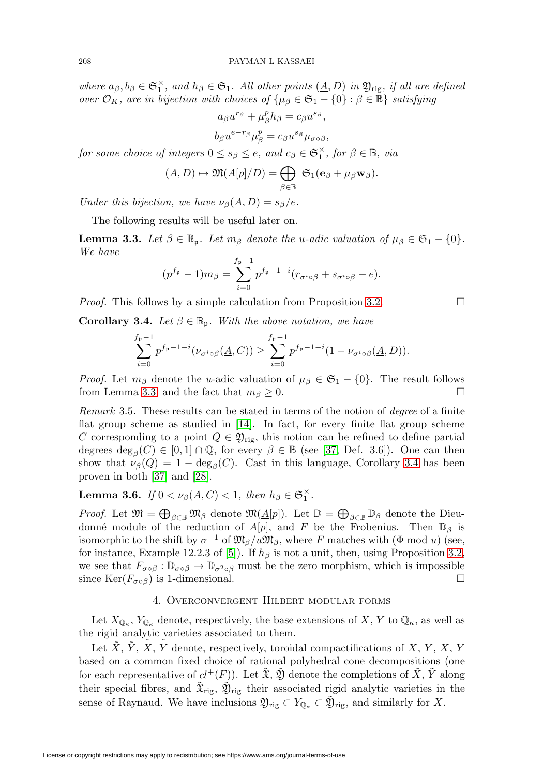where  $a_{\beta}, b_{\beta} \in \mathfrak{S}_1^{\times}$ , and  $h_{\beta} \in \mathfrak{S}_1$ . All other points  $(\underline{A}, D)$  in  $\mathfrak{Y}_{\text{rig}}$ , if all are defined over  $\mathcal{O}_K$ , are in bijection with choices of  $\{\mu_\beta \in \mathfrak{S}_1 - \{0\} : \beta \in \mathbb{B}\}\$  satisfying

$$
a_{\beta}u^{r_{\beta}} + \mu_{\beta}^{p}h_{\beta} = c_{\beta}u^{s_{\beta}},
$$
  

$$
b_{\beta}u^{e-r_{\beta}}\mu_{\beta}^{p} = c_{\beta}u^{s_{\beta}}\mu_{\sigma\circ\beta},
$$

for some choice of integers  $0 \leq s_\beta \leq e$ , and  $c_\beta \in \mathfrak{S}_1^\times$ , for  $\beta \in \mathbb{B}$ , via

$$
(\underline{A}, D) \mapsto \mathfrak{M}(\underline{A}[p]/D) = \bigoplus_{\beta \in \mathbb{B}} \mathfrak{S}_1(\mathbf{e}_{\beta} + \mu_{\beta} \mathbf{w}_{\beta}).
$$

Under this bijection, we have  $\nu_\beta(A, D) = s_\beta/e$ .

The following results will be useful later on.

<span id="page-9-0"></span>**Lemma 3.3.** Let  $\beta \in \mathbb{B}_{p}$ . Let  $m_{\beta}$  denote the u-adic valuation of  $\mu_{\beta} \in \mathfrak{S}_1 - \{0\}$ . We have

$$
(p^{f_{\mathfrak{p}}} - 1)m_{\beta} = \sum_{i=0}^{f_{\mathfrak{p}} - 1} p^{f_{\mathfrak{p}} - 1 - i} (r_{\sigma^i \circ \beta} + s_{\sigma^i \circ \beta} - e).
$$

*Proof.* This follows by a simple calculation from Proposition [3.2.](#page-8-1)

<span id="page-9-1"></span>**Corollary 3.4.** Let  $\beta \in \mathbb{B}_{p}$ . With the above notation, we have

$$
\sum_{i=0}^{f_{\mathfrak{p}}-1} p^{f_{\mathfrak{p}}-1-i}(\nu_{\sigma^{i}\circ\beta}(\underline{A},C)) \geq \sum_{i=0}^{f_{\mathfrak{p}}-1} p^{f_{\mathfrak{p}}-1-i} (1-\nu_{\sigma^{i}\circ\beta}(\underline{A},D)).
$$

*Proof.* Let  $m_\beta$  denote the u-adic valuation of  $\mu_\beta \in \mathfrak{S}_1 - \{0\}$ . The result follows from Lemma [3.3,](#page-9-0) and the fact that  $m_\beta \geq 0$ .  $\Box$ 

Remark 3.5. These results can be stated in terms of the notion of degree of a finite flat group scheme as studied in [\[14\]](#page-25-18). In fact, for every finite flat group scheme C corresponding to a point  $Q \in \mathfrak{Y}_{\text{rig}}$ , this notion can be refined to define partial degrees  $\deg_{\beta}(C) \in [0,1] \cap \mathbb{Q}$ , for every  $\beta \in \mathbb{B}$  (see [\[37,](#page-26-1) Def. 3.6]). One can then show that  $\nu_{\beta}(Q)=1 - \deg_{\beta}(C)$ . Cast in this language, Corollary [3.4](#page-9-1) has been proven in both [\[37\]](#page-26-1) and [\[28\]](#page-25-7).

<span id="page-9-2"></span>**Lemma 3.6.** If  $0 < \nu_\beta(\underline{A}, C) < 1$ , then  $h_\beta \in \mathfrak{S}_1^\times$ .

*Proof.* Let  $\mathfrak{M} = \bigoplus_{\beta \in \mathbb{B}} \mathfrak{M}_{\beta}$  denote  $\mathfrak{M}(\underline{A}[p])$ . Let  $\mathbb{D} = \bigoplus_{\beta \in \mathbb{B}} \mathbb{D}_{\beta}$  denote the Dieudonné module of the reduction of  $\underline{A}[p]$ , and F be the Frobenius. Then  $\mathbb{D}_{\beta}$  is isomorphic to the shift by  $\sigma^{-1}$  of  $\mathfrak{M}_{\beta}/u\mathfrak{M}_{\beta}$ , where F matches with ( $\Phi$  mod u) (see, for instance, Example 12.2.3 of [\[5\]](#page-25-19)). If  $h_\beta$  is not a unit, then, using Proposition [3.2,](#page-8-1) we see that  $F_{\sigma \circ \beta}: \mathbb{D}_{\sigma \circ \beta} \to \mathbb{D}_{\sigma^2 \circ \beta}$  must be the zero morphism, which is impossible since  $\text{Ker}(F_{\sigma \circ \beta})$  is 1-dimensional.

## 4. Overconvergent Hilbert modular forms

<span id="page-9-3"></span>Let  $X_{\mathbb{Q}_{\kappa}}, Y_{\mathbb{Q}_{\kappa}}$  denote, respectively, the base extensions of X, Y to  $\mathbb{Q}_{\kappa}$ , as well as the rigid analytic varieties associated to them.

Let  $\tilde{X}, \tilde{Y}, \tilde{\overline{X}}, \tilde{\overline{Y}}$  denote, respectively, toroidal compactifications of  $X, Y, \overline{X}, \overline{Y}$ based on a common fixed choice of rational polyhedral cone decompositions (one for each representative of  $cl^+(F)$ ). Let  $\mathfrak{X}, \mathfrak{Y}$  denote the completions of X, Y along their special fibres, and  $\mathfrak{X}_{\text{rig}}$ ,  $\mathfrak{Y}_{\text{rig}}$  their associated rigid analytic varieties in the sense of Raynaud. We have inclusions  $\mathfrak{Y}_{\text{rig}} \subset Y_{\mathbb{Q}_{\kappa}} \subset \tilde{\mathfrak{Y}}_{\text{rig}}$ , and similarly for X.

 $\Box$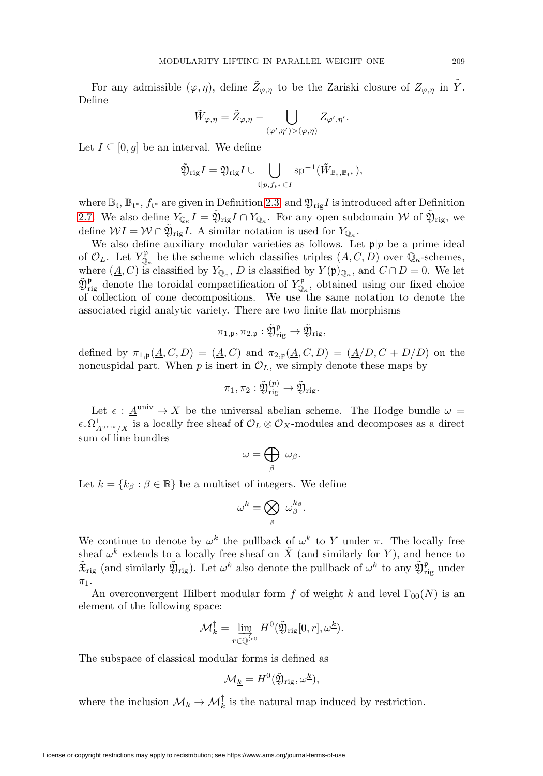For any admissible  $(\varphi, \eta)$ , define  $\tilde{Z}_{\varphi,\eta}$  to be the Zariski closure of  $Z_{\varphi,\eta}$  in  $\tilde{Y}$ . Define

$$
\tilde{W}_{\varphi,\eta} = \tilde{Z}_{\varphi,\eta} - \bigcup_{(\varphi',\eta') > (\varphi,\eta)} Z_{\varphi',\eta'}.
$$

Let  $I \subseteq [0, g]$  be an interval. We define

$$
\tilde{\mathfrak{Y}}_{\mathrm{rig}}I=\mathfrak{Y}_{\mathrm{rig}}I\cup\bigcup_{\mathfrak{t}\vert p,f_{\mathfrak{t}^*}\in I}\mathrm{sp}^{-1}(\tilde{W}_{\mathbb{B}_{\mathfrak{t}},\mathbb{B}_{\mathfrak{t}^*}}),
$$

where  $\mathbb{B}_t$ ,  $\mathbb{B}_{t^*}$ ,  $f_{t^*}$  are given in Definition [2.3,](#page-5-0) and  $\mathfrak{Y}_{\text{rig}}I$  is introduced after Definition [2.7.](#page-6-1) We also define  $Y_{\mathbb{Q}_\kappa}I = \tilde{\mathfrak{Y}}_{\text{rig}}I \cap Y_{\mathbb{Q}_\kappa}$ . For any open subdomain W of  $\tilde{\mathfrak{Y}}_{\text{rig}}$ , we define  $\mathcal{W}I = \mathcal{W} \cap \tilde{\mathfrak{Y}}_{\text{rig}}I$ . A similar notation is used for  $Y_{\mathbb{Q}_r}$ .

We also define auxiliary modular varieties as follows. Let  $\mathfrak{p}|p$  be a prime ideal of  $\mathcal{O}_L$ . Let  $Y^{\mathfrak{p}}_{\mathbb{Q}_\kappa}$  be the scheme which classifies triples  $(\underline{A}, C, D)$  over  $\mathbb{Q}_\kappa$ -schemes, where  $(\underline{A}, C)$  is classified by  $Y_{\mathbb{Q}_{\kappa}}, D$  is classified by  $Y(\mathfrak{p})_{\mathbb{Q}_{\kappa}},$  and  $C \cap D = 0$ . We let  $\tilde{\mathfrak{Y}}_{\text{rig}}^{\mathfrak{p}}$  denote the toroidal compactification of  $Y^{\mathfrak{p}}_{\mathbb{Q}_{\kappa}}$ , obtained using our fixed choice of collection of cone decompositions. We use the same notation to denote the associated rigid analytic variety. There are two finite flat morphisms

$$
\pi_{1,\mathfrak{p}}, \pi_{2,\mathfrak{p}}: \tilde{\mathfrak{Y}}^{\mathfrak{p}}_{\mathrm{rig}} \rightarrow \tilde{\mathfrak{Y}}_{\mathrm{rig}},
$$

defined by  $\pi_{1,p}(\underline{A},C,D)=(\underline{A},C)$  and  $\pi_{2,p}(\underline{A},C,D)=(\underline{A}/D, C + D/D)$  on the noncuspidal part. When  $p$  is inert in  $\mathcal{O}_L$ , we simply denote these maps by

$$
\pi_1, \pi_2 : \tilde{\mathfrak{Y}}_{\mathrm{rig}}^{(p)} \to \tilde{\mathfrak{Y}}_{\mathrm{rig}}.
$$

Let  $\epsilon : \underline{A}^{\text{univ}} \to X$  be the universal abelian scheme. The Hodge bundle  $\omega =$  $\epsilon_* \Omega^1_{\underline{A}^{\text{univ}}/X}$  is a locally free sheaf of  $\mathcal{O}_L \otimes \mathcal{O}_X$ -modules and decomposes as a direct sum of line bundles

$$
\omega = \bigoplus_{\beta} \ \omega_{\beta}.
$$

Let  $\underline{k} = \{k_\beta : \beta \in \mathbb{B}\}\$ be a multiset of integers. We define

$$
\omega^{\underline{k}}=\bigotimes_{\beta}\; \omega_{\beta}^{k_{\beta}}.
$$

We continue to denote by  $\omega^{\underline{k}}$  the pullback of  $\omega^{\underline{k}}$  to Y under π. The locally free sheaf  $\omega^{\underline{k}}$  extends to a locally free sheaf on  $\tilde{X}$  (and similarly for Y), and hence to  $\tilde{\mathfrak{X}}_{\text{rig}}$  (and similarly  $\tilde{\mathfrak{Y}}_{\text{rig}}$ ). Let  $\omega^{\underline{k}}$  also denote the pullback of  $\omega^{\underline{k}}$  to any  $\tilde{\mathfrak{Y}}_{\text{rig}}^{\mathfrak{p}}$  under  $\pi_1$ .

An overconvergent Hilbert modular form f of weight  $k$  and level  $\Gamma_{00}(N)$  is an element of the following space:

$$
\mathcal{M}_{\underline{k}}^{\dagger} = \lim_{r \in \mathbb{Q}^{>0}} H^0(\tilde{\mathfrak{Y}}_{\mathrm{rig}}[0,r], \omega^{\underline{k}}).
$$

The subspace of classical modular forms is defined as

$$
\mathcal{M}_{\underline{k}} = H^0(\tilde{\mathfrak{Y}}_{\mathrm{rig}}, \omega^{\underline{k}}),
$$

where the inclusion  $\mathcal{M}_{\underline{k}} \to \mathcal{M}_{\underline{k}}^{\dagger}$  is the natural map induced by restriction.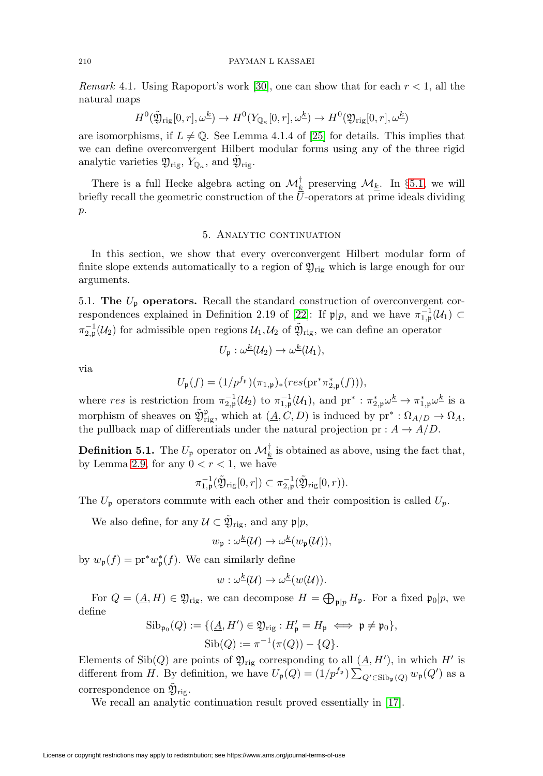Remark 4.1. Using Rapoport's work [\[30\]](#page-25-20), one can show that for each  $r < 1$ , all the natural maps

$$
H^0(\tilde{\mathfrak{Y}}_{\mathrm{rig}}[0,r],\omega^{\underline{k}}) \to H^0(Y_{\mathbb{Q}_\kappa}[0,r],\omega^{\underline{k}}) \to H^0(\mathfrak{Y}_{\mathrm{rig}}[0,r],\omega^{\underline{k}})
$$

are isomorphisms, if  $L \neq \mathbb{Q}$ . See Lemma 4.1.4 of [\[25\]](#page-25-21) for details. This implies that we can define overconvergent Hilbert modular forms using any of the three rigid analytic varieties  $\mathfrak{Y}_{\mathrm{rig}}$ ,  $Y_{\mathbb{Q}_{\kappa}}$ , and  $\mathfrak{Y}_{\mathrm{rig}}$ .

There is a full Hecke algebra acting on  $\mathcal{M}^{\dagger}_k$  preserving  $\mathcal{M}_k$ . In §[5.1,](#page-11-0) we will briefly recall the geometric construction of the  $\overline{U}$ -operators at prime ideals dividing  $p$ .

## 5. Analytic continuation

In this section, we show that every overconvergent Hilbert modular form of finite slope extends automatically to a region of  $\mathfrak{Y}_{\text{rig}}$  which is large enough for our arguments.

<span id="page-11-0"></span>5.1. **The** U<sup>p</sup> **operators.** Recall the standard construction of overconvergent cor-respondences explained in Definition 2.19 of [\[22\]](#page-25-3): If  $\mathfrak{p}|p$ , and we have  $\pi_{1,\mathfrak{p}}^{-1}(\mathcal{U}_1) \subset$  $\pi_{2,\mathfrak{p}}^{-1}(\mathcal{U}_2)$  for admissible open regions  $\mathcal{U}_1, \mathcal{U}_2$  of  $\tilde{\mathfrak{Y}}_{\text{rig}}$ , we can define an operator

$$
U_{\mathfrak{p}}: \omega^{\underline{k}}(\mathcal{U}_2) \to \omega^{\underline{k}}(\mathcal{U}_1),
$$

via

$$
U_{\mathfrak{p}}(f) = (1/p^{f_{\mathfrak{p}}})(\pi_{1,\mathfrak{p}})_*(res(\mathrm{pr}^*\pi_{2,\mathfrak{p}}^*(f))),
$$

where res is restriction from  $\pi_{2,\mathfrak{p}}^{-1}(\mathcal{U}_2)$  to  $\pi_{1,\mathfrak{p}}^{-1}(\mathcal{U}_1)$ , and  $pr^* : \pi_{2,\mathfrak{p}}^* \omega^{\underline{k}} \to \pi_{1,\mathfrak{p}}^* \omega^{\underline{k}}$  is a morphism of sheaves on  $\mathfrak{D}^{\mathfrak{p}}_{\text{rig}}$ , which at  $(\underline{A}, \underline{C}, D)$  is induced by  $\text{pr}^* : \Omega_{A/D} \to \Omega_A$ , the pullback map of differentials under the natural projection pr :  $A \rightarrow A/D$ .

**Definition 5.1.** The  $U_{\mathfrak{p}}$  operator on  $\mathcal{M}^{\dagger}_k$  is obtained as above, using the fact that, by Lemma [2.9,](#page-7-0) for any  $0 < r < 1$ , we have

$$
\pi_{1,\mathfrak{p}}^{-1}(\tilde{\mathfrak{Y}}_{\mathrm{rig}}[0,r]) \subset \pi_{2,\mathfrak{p}}^{-1}(\tilde{\mathfrak{Y}}_{\mathrm{rig}}[0,r)).
$$

The  $U_{\mathfrak{p}}$  operators commute with each other and their composition is called  $U_{p}$ .

We also define, for any  $\mathcal{U} \subset \tilde{\mathfrak{Y}}_{\text{rig}}$ , and any  $\mathfrak{p}|p$ ,

$$
w_{\mathfrak{p}} : \omega^{\underline{k}}(\mathcal{U}) \to \omega^{\underline{k}}(w_{\mathfrak{p}}(\mathcal{U})),
$$

by  $w_{\mathfrak{p}}(f) = \text{pr}^* w_{\mathfrak{p}}^*(f)$ . We can similarly define

$$
w: \omega^{\underline{k}}(\mathcal{U}) \to \omega^{\underline{k}}(w(\mathcal{U})).
$$

For  $Q = (\underline{A}, H) \in \mathfrak{Y}_{\text{rig}}$ , we can decompose  $H = \bigoplus_{\mathfrak{p}|p} H_{\mathfrak{p}}$ . For a fixed  $\mathfrak{p}_0|p$ , we define

$$
\mathrm{Sib}_{\mathfrak{p}_0}(Q) := \{ (\underline{A}, H') \in \mathfrak{Y}_{\mathrm{rig}} : H'_{\mathfrak{p}} = H_{\mathfrak{p}} \iff \mathfrak{p} \neq \mathfrak{p}_0 \},
$$
  

$$
\mathrm{Sib}(Q) := \pi^{-1}(\pi(Q)) - \{Q\}.
$$

Elements of Sib(Q) are points of  $\mathfrak{Y}_{\text{rig}}$  corresponding to all  $(\underline{A}, H')$ , in which H' is different from H. By definition, we have  $U_{\mathfrak{p}}(Q) = (1/p^{f_{\mathfrak{p}}}) \sum_{Q' \in \text{Sib}_{\mathfrak{p}}(Q)} w_{\mathfrak{p}}(Q')$  as a correspondence on  $\mathfrak{Y}_{\mathrm{rig}}$ .

We recall an analytic continuation result proved essentially in [\[17\]](#page-25-9).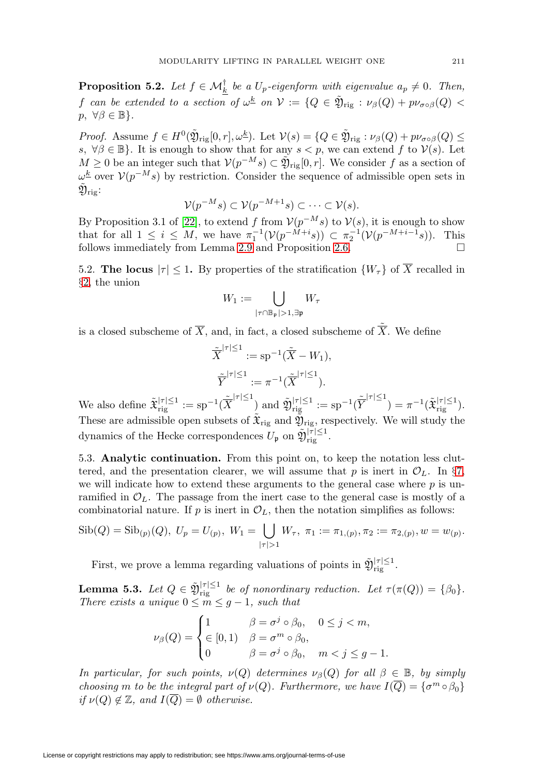<span id="page-12-0"></span>**Proposition 5.2.** Let  $f \in \mathcal{M}_k^{\dagger}$  be a  $U_p$ -eigenform with eigenvalue  $a_p \neq 0$ . Then, f can be extended to a section of  $\omega^k$  on  $V := \{Q \in \tilde{\mathfrak{Y}}_{\text{rig}} : \nu_\beta(Q) + p \nu_{\sigma \circ \beta}(Q)$ p,  $\forall \beta \in \mathbb{B}$ .

*Proof.* Assume  $f \in H^0(\tilde{\mathfrak{Y}}_{\text{rig}}[0,r],\omega^{\underline{k}})$ . Let  $\mathcal{V}(s) = \{Q \in \tilde{\mathfrak{Y}}_{\text{rig}} : \nu_\beta(Q) + p\nu_{\sigma \circ \beta}(Q) \leq$ s,  $\forall \beta \in \mathbb{B}$ . It is enough to show that for any  $s < p$ , we can extend f to  $\mathcal{V}(s)$ . Let  $M \geq 0$  be an integer such that  $\mathcal{V}(p^{-M}s) \subset \tilde{\mathfrak{Y}}_{\text{rig}}[0,r]$ . We consider f as a section of  $\omega^{\underline{k}}$  over  $V(p^{-M}s)$  by restriction. Consider the sequence of admissible open sets in  $\mathfrak{Y}_{\text{rie}}$ :

$$
\mathcal{V}(p^{-M}s) \subset \mathcal{V}(p^{-M+1}s) \subset \cdots \subset \mathcal{V}(s).
$$

By Proposition 3.1 of [\[22\]](#page-25-3), to extend f from  $\mathcal{V}(p^{-M}s)$  to  $\mathcal{V}(s)$ , it is enough to show that for all  $1 \leq i \leq M$ , we have  $\pi_1^{-1}(\mathcal{V}(p^{-M+i}s)) \subset \pi_2^{-1}(\mathcal{V}(p^{-M+i-1}s))$ . This follows immediately from Lemma [2.9](#page-7-0) and Proposition [2.6.](#page-6-0)

<span id="page-12-3"></span>5.2. **The locus**  $|\tau| \leq 1$ . By properties of the stratification  $\{W_{\tau}\}\)$  of X recalled in §[2,](#page-2-1) the union

$$
W_1:=\bigcup_{|\tau\cap\mathbb{B}_\mathfrak{p}|>1, \exists\mathfrak{p}} W_\tau
$$

is a closed subscheme of  $\overline{X}$ , and, in fact, a closed subscheme of  $\tilde{\overline{X}}$ . We define

$$
\tilde{\overline{X}}^{|\tau|\leq 1} := \text{sp}^{-1}(\tilde{\overline{X}} - W_1),
$$
  

$$
\tilde{\overline{Y}}^{|\tau|\leq 1} := \pi^{-1}(\tilde{\overline{X}}^{|\tau|\leq 1}).
$$

We also define  $\tilde{\mathfrak{X}}_{\text{rig}}^{|\tau|\leq 1} := \text{sp}^{-1}(\tilde{\overline{X}}^{|\tau|\leq 1})$  and  $\tilde{\mathfrak{Y}}_{\text{rig}}^{|\tau|\leq 1} := \text{sp}^{-1}(\tilde{\overline{Y}}^{|\tau|\leq 1}) = \pi^{-1}(\tilde{\mathfrak{X}}_{\text{rig}}^{|\tau|\leq 1}).$ These are admissible open subsets of  $\tilde{\mathfrak{X}}_{\text{rig}}$  and  $\tilde{\mathfrak{Y}}_{\text{rig}}$ , respectively. We will study the dynamics of the Hecke correspondences  $U_{\mathfrak{p}}$  on  $\tilde{\mathfrak{Y}}_{\text{rig}}^{|\tau|\leq 1}$ .

<span id="page-12-2"></span>5.3. **Analytic continuation.** From this point on, to keep the notation less cluttered, and the presentation clearer, we will assume that p is inert in  $\mathcal{O}_L$ . In §[7,](#page-21-0) we will indicate how to extend these arguments to the general case where  $p$  is unramified in  $\mathcal{O}_L$ . The passage from the inert case to the general case is mostly of a combinatorial nature. If p is inert in  $\mathcal{O}_L$ , then the notation simplifies as follows:

$$
\mathrm{Sib}(Q) = \mathrm{Sib}_{(p)}(Q), \ U_p = U_{(p)}, \ W_1 = \bigcup_{|\tau|>1} W_{\tau}, \ \pi_1 := \pi_{1,(p)}, \pi_2 := \pi_{2,(p)}, w = w_{(p)}.
$$

First, we prove a lemma regarding valuations of points in  $\tilde{\mathfrak{Y}}_{\text{rig}}^{|\tau|\leq 1}$ .

<span id="page-12-1"></span>**Lemma 5.3.** Let  $Q \in \tilde{\mathfrak{D}}_{\text{rig}}^{|\tau| \leq 1}$  be of nonordinary reduction. Let  $\tau(\pi(Q)) = \{\beta_0\}.$ There exists a unique  $0 \leq m \leq g-1$ , such that

$$
\nu_{\beta}(Q) = \begin{cases} 1 & \beta = \sigma^j \circ \beta_0, \quad 0 \le j < m, \\ \in [0, 1) & \beta = \sigma^m \circ \beta_0, \\ 0 & \beta = \sigma^j \circ \beta_0, \quad m < j \le g - 1. \end{cases}
$$

In particular, for such points,  $\nu(Q)$  determines  $\nu_{\beta}(Q)$  for all  $\beta \in \mathbb{B}$ , by simply choosing m to be the integral part of  $\nu(Q)$ . Furthermore, we have  $I(\overline{Q}) = {\sigma^m \circ \beta_0}$ if  $\nu(Q) \notin \mathbb{Z}$ , and  $I(\overline{Q}) = \emptyset$  otherwise.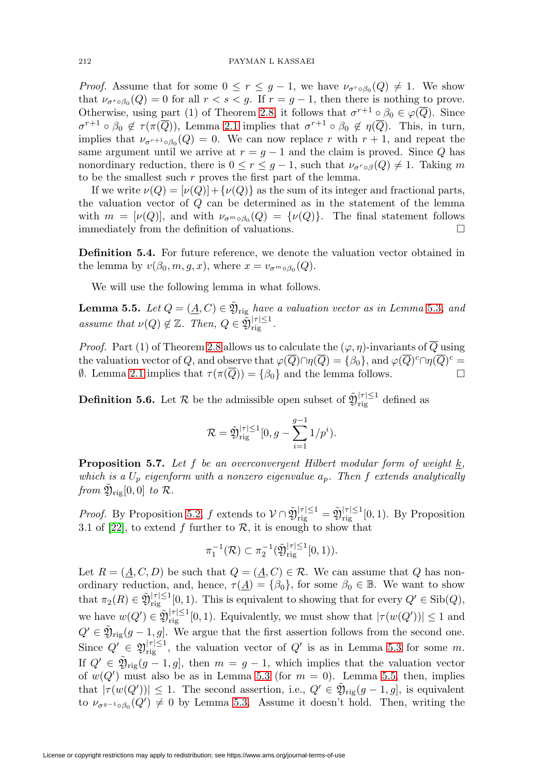*Proof.* Assume that for some  $0 \le r \le g-1$ , we have  $\nu_{\sigma^r \circ \beta_0}(Q) \neq 1$ . We show that  $\nu_{\sigma^s \circ \beta_0}(Q) = 0$  for all  $r < s < g$ . If  $r = g - 1$ , then there is nothing to prove. Otherwise, using part (1) of Theorem [2.8,](#page-6-2) it follows that  $\sigma^{r+1} \circ \beta_0 \in \varphi(\overline{Q})$ . Since  $\sigma^{r+1} \circ \beta_0 \notin \tau(\overline{\pi(\overline{Q})}),$  Lemma [2.1](#page-4-3) implies that  $\sigma^{r+1} \circ \beta_0 \notin \eta(\overline{Q})$ . This, in turn, implies that  $\nu_{\sigma^{r+1} \circ \beta_0}(Q) = 0$ . We can now replace r with  $r + 1$ , and repeat the same argument until we arrive at  $r = g - 1$  and the claim is proved. Since Q has nonordinary reduction, there is  $0 \le r \le g-1$ , such that  $\nu_{\sigma^r \circ \beta}(Q) \neq 1$ . Taking m to be the smallest such r proves the first part of the lemma.

If we write  $\nu(Q)=[\nu(Q)]+\{\nu(Q)\}\$ as the sum of its integer and fractional parts, the valuation vector of Q can be determined as in the statement of the lemma with  $m = [\nu(Q)]$ , and with  $\nu_{\sigma^{m} \circ \beta_0}(Q) = {\nu(Q)}$ . The final statement follows immediately from the definition of valuations. ⊔

<span id="page-13-2"></span>**Definition 5.4.** For future reference, we denote the valuation vector obtained in the lemma by  $v(\beta_0, m, g, x)$ , where  $x = v_{\sigma^{m} \circ \beta_0}(Q)$ .

We will use the following lemma in what follows.

<span id="page-13-0"></span>**Lemma 5.5.** Let  $Q = (\underline{A}, C) \in \tilde{\mathfrak{Y}}_{\text{rig}}$  have a valuation vector as in Lemma [5.3](#page-12-1), and assume that  $\nu(Q) \notin \mathbb{Z}$ . Then,  $Q \in \tilde{\mathfrak{Y}}_{\mathrm{rig}}^{|\tau| \leq 1}$ .

*Proof.* Part (1) of Theorem [2.8](#page-6-2) allows us to calculate the  $(\varphi, \eta)$ -invariants of  $\overline{Q}$  using the valuation vector of Q, and observe that  $\varphi(\overline{Q}) \cap \eta(\overline{Q}) = {\beta_0},$  and  $\varphi(\overline{Q})^c \cap \eta(\overline{Q})^c =$  $\emptyset$ . Lemma [2.1](#page-4-3) implies that  $\tau(\pi(\overline{Q})) = {\beta_0}$  and the lemma follows.  $\Box$ 

**Definition 5.6.** Let  $\mathcal{R}$  be the admissible open subset of  $\tilde{\mathfrak{Y}}_{\text{rig}}^{|\tau| \leq 1}$  defined as

$$
\mathcal{R} = \tilde{\mathfrak{Y}}_{\text{rig}}^{|\tau| \le 1} [0, g - \sum_{i=1}^{g-1} 1/p^i).
$$

<span id="page-13-1"></span>**Proposition 5.7.** Let f be an overconvergent Hilbert modular form of weight k, which is a  $U_p$  eigenform with a nonzero eigenvalue  $a_p$ . Then f extends analytically from  $\mathfrak{Y}_{\mathrm{rig}}[0,0]$  to  $\mathcal{R}$ .

*Proof.* By Proposition [5.2,](#page-12-0) f extends to  $V \cap \tilde{\mathfrak{Y}}_{\text{rig}}^{|\tau| \leq 1} = \tilde{\mathfrak{Y}}_{\text{rig}}^{|\tau| \leq 1} [0, 1]$ . By Proposition 3.1 of [\[22\]](#page-25-3), to extend f further to  $\mathcal{R}$ , it is enough to show that

$$
\pi_1^{-1}(\mathcal{R}) \subset \pi_2^{-1}(\tilde{\mathfrak{Y}}_{\mathrm{rig}}^{|\tau| \leq 1}[0,1)).
$$

Let  $R = (\underline{A}, C, D)$  be such that  $Q = (\underline{A}, C) \in \mathcal{R}$ . We can assume that Q has nonordinary reduction, and, hence,  $\tau(\underline{A}) = {\beta_0}$ , for some  $\beta_0 \in \mathbb{B}$ . We want to show that  $\pi_2(R) \in \tilde{\mathfrak{Y}}_{\text{rig}}^{|\tau| \leq 1}[0,1]$ . This is equivalent to showing that for every  $Q' \in \text{Sib}(Q)$ , we have  $w(Q') \in \tilde{\mathfrak{Y}}_{\text{rig}}^{|\tau| \leq 1}[0,1)$ . Equivalently, we must show that  $|\tau(w(Q'))| \leq 1$  and  $Q' \in \tilde{\mathfrak{Y}}_{\text{rig}}(g-1,g]$ . We argue that the first assertion follows from the second one. Since  $Q' \in \mathfrak{Y}_{\text{rig}}^{|\tau| \leq 1}$ , the valuation vector of  $Q'$  is as in Lemma [5.3](#page-12-1) for some m. If  $Q' \in \mathfrak{Y}_{\text{rig}}(g-1,g]$ , then  $m = g-1$ , which implies that the valuation vector of  $w(Q')$  must also be as in Lemma [5.3](#page-12-1) (for  $m = 0$ ). Lemma [5.5,](#page-13-0) then, implies that  $|\tau(w(Q'))| \leq 1$ . The second assertion, i.e.,  $Q' \in \tilde{\mathfrak{Y}}_{\text{rig}}(g-1,g]$ , is equivalent to  $\nu_{\sigma^{g-1} \circ \beta_0}(Q') \neq 0$  by Lemma [5.3.](#page-12-1) Assume it doesn't hold. Then, writing the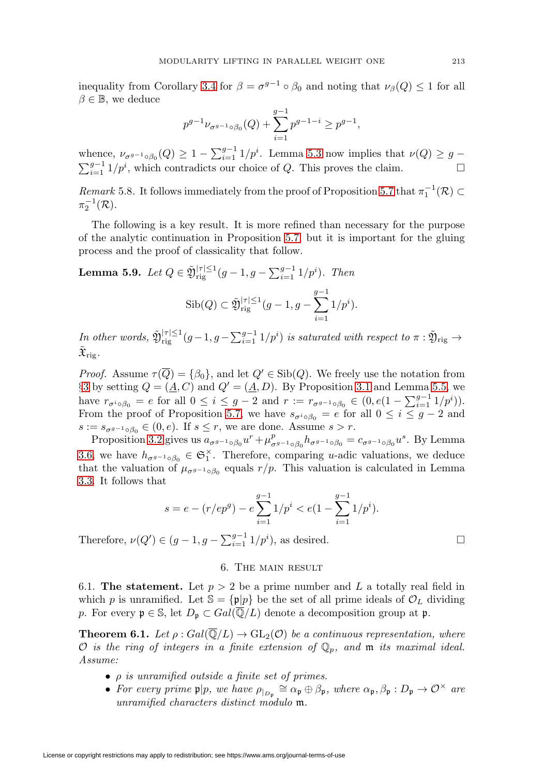inequality from Corollary [3.4](#page-9-1) for  $\beta = \sigma^{g-1} \circ \beta_0$  and noting that  $\nu_\beta(Q) \leq 1$  for all  $\beta \in \mathbb{B}$ , we deduce

$$
p^{g-1}\nu_{\sigma^{g-1}\circ\beta_0}(Q)+\sum_{i=1}^{g-1}p^{g-1-i}\geq p^{g-1},
$$

whence,  $\nu_{\sigma^{g-1} \circ \beta_0}(Q) \geq 1 - \sum_{i=1}^{g-1} 1/p^i$ . Lemma [5.3](#page-12-1) now implies that  $\nu(Q) \geq g$  $\sum_{i=1}^{g-1} 1/p^i$ , which contradicts our choice of Q. This proves the claim.  $\Box$ 

<span id="page-14-1"></span>Remark 5.8. It follows immediately from the proof of Proposition [5.7](#page-13-1) that  $\pi_1^{-1}(\mathcal{R}) \subset$  $\pi_2^{-1}(\mathcal{R}).$ 

The following is a key result. It is more refined than necessary for the purpose of the analytic continuation in Proposition [5.7,](#page-13-1) but it is important for the gluing process and the proof of classicality that follow.

<span id="page-14-2"></span>**Lemma 5.9.** Let  $Q \in \tilde{\mathfrak{Y}}_{\mathrm{rig}}^{|\tau| \leq 1} (g - 1, g - \sum_{i=1}^{g-1} 1/p^i)$ . Then  $\mathrm{Sib}(Q) \subset \tilde{\mathfrak{Y}}_{\mathrm{rig}}^{|\tau| \leq 1} (g-1, g-1)$  $\overline{\mathcal{F}}$  $i=1$  $1/p^i$ ).

In other words,  $\tilde{\mathfrak{Y}}_{\text{rig}}^{|\tau|\leq 1}(g-1,g-\sum_{i=1}^{g-1}1/p^i)$  is saturated with respect to  $\pi:\tilde{\mathfrak{Y}}_{\text{rig}} \to$  $\mathfrak{X}_{\text{rig}}$ .

*Proof.* Assume  $\tau(\overline{Q}) = {\beta_0}$ , and let  $Q' \in \text{Sib}(Q)$ . We freely use the notation from §[3](#page-7-1) by setting  $Q = (\underline{A}, C)$  and  $Q' = (\underline{A}, D)$ . By Proposition [3.1](#page-8-0) and Lemma [5.5,](#page-13-0) we have  $r_{\sigma^i \circ \beta_0} = e$  for all  $0 \le i \le g-2$  and  $r := r_{\sigma^{g-1} \circ \beta_0} \in (0, e(1 - \sum_{i=1}^{g-1} 1/p^i)).$ From the proof of Proposition [5.7,](#page-13-1) we have  $s_{\sigma^i \circ \beta_0} = e$  for all  $0 \leq i \leq g-2$  and  $s := s_{\sigma^{g-1} \circ \beta_0} \in (0, e)$ . If  $s \leq r$ , we are done. Assume  $s > r$ .

Proposition [3.2](#page-8-1) gives us  $a_{\sigma g^{-1} \circ \beta_0} u^r + \mu_{\sigma g^{-1} \circ \beta_0}^p h_{\sigma g^{-1} \circ \beta_0} = c_{\sigma g^{-1} \circ \beta_0} u^s$ . By Lemma [3.6,](#page-9-2) we have  $h_{\sigma^{g-1}\circ\beta_0} \in \mathfrak{S}_1^{\times}$ . Therefore, comparing u-adic valuations, we deduce that the valuation of  $\mu_{\sigma^{g-1} \circ \beta_0}$  equals  $r/p$ . This valuation is calculated in Lemma [3.3.](#page-9-0) It follows that

$$
s = e - (r/ep^g) - e \sum_{i=1}^{g-1} 1/p^i < e(1 - \sum_{i=1}^{g-1} 1/p^i).
$$

Therefore,  $\nu(Q') \in (g-1, g-\sum_{i=1}^{g-1} 1/p^i)$ , as desired.

## 6. The main result

6.1. **The statement.** Let  $p > 2$  be a prime number and L a totally real field in which p is unramified. Let  $\mathcal{S} = {\{\mathfrak{p} \mid p\}}$  be the set of all prime ideals of  $\mathcal{O}_L$  dividing p. For every  $\mathfrak{p} \in \mathbb{S}$ , let  $D_{\mathfrak{p}} \subset Gal(\mathbb{Q}/L)$  denote a decomposition group at  $\mathfrak{p}$ .

<span id="page-14-0"></span>**Theorem 6.1.** Let  $\rho: Gal(\overline{\mathbb{Q}}/L) \to GL_2(\mathcal{O})$  be a continuous representation, where  $\mathcal O$  is the ring of integers in a finite extension of  $\mathbb Q_p$ , and  $\mathfrak m$  its maximal ideal. Assume:

- $\bullet$   $\rho$  is unramified outside a finite set of primes.
- For every prime  $\mathfrak{p}|p$ , we have  $\rho_{|_{D_{\mathfrak{p}}}} \cong \alpha_{\mathfrak{p}} \oplus \beta_{\mathfrak{p}}$ , where  $\alpha_{\mathfrak{p}}, \beta_{\mathfrak{p}} : D_{\mathfrak{p}} \to \mathcal{O}^{\times}$  are unramified characters distinct modulo m.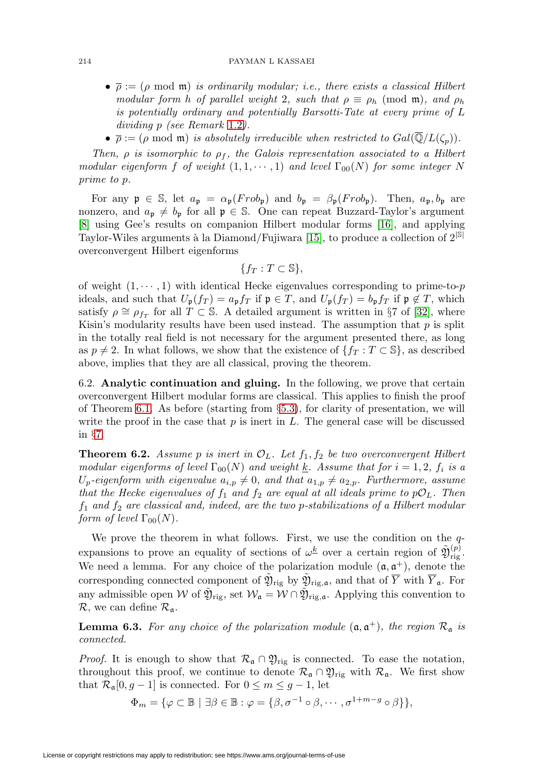- $\overline{\rho} := (\rho \mod m)$  is ordinarily modular; i.e., there exists a classical Hilbert modular form h of parallel weight 2, such that  $\rho \equiv \rho_h \pmod{m}$ , and  $\rho_h$ is potentially ordinary and potentially Barsotti-Tate at every prime of L dividing p (see Remark [1.2](#page-1-0)).
- $\overline{\rho} := (\rho \mod m)$  is absolutely irreducible when restricted to  $Gal(\overline{\mathbb{Q}}/L(\zeta_n))$ .

Then,  $\rho$  is isomorphic to  $\rho_f$ , the Galois representation associated to a Hilbert modular eigenform f of weight  $(1, 1, \dots, 1)$  and level  $\Gamma_{00}(N)$  for some integer N prime to p.

For any  $\mathfrak{p} \in \mathbb{S}$ , let  $a_{\mathfrak{p}} = \alpha_{\mathfrak{p}}(Frob_{\mathfrak{p}})$  and  $b_{\mathfrak{p}} = \beta_{\mathfrak{p}}(Frob_{\mathfrak{p}})$ . Then,  $a_{\mathfrak{p}}, b_{\mathfrak{p}}$  are nonzero, and  $a_p \neq b_p$  for all  $p \in \mathbb{S}$ . One can repeat Buzzard-Taylor's argument [\[8\]](#page-25-0) using Gee's results on companion Hilbert modular forms [\[16\]](#page-25-22), and applying Taylor-Wiles arguments à la Diamond/Fujiwara [\[15\]](#page-25-23), to produce a collection of  $2^{|S|}$ overconvergent Hilbert eigenforms

$$
\{f_T : T \subset \mathbb{S}\},\
$$

of weight  $(1, \dots, 1)$  with identical Hecke eigenvalues corresponding to prime-to-p ideals, and such that  $U_{\mathfrak{p}}(f_T) = a_{\mathfrak{p}} f_T$  if  $\mathfrak{p} \in T$ , and  $U_{\mathfrak{p}}(f_T) = b_{\mathfrak{p}} f_T$  if  $\mathfrak{p} \notin T$ , which satisfy  $\rho \cong \rho_{fT}$  for all  $T \subset \mathbb{S}$ . A detailed argument is written in §7 of [\[32\]](#page-25-8), where Kisin's modularity results have been used instead. The assumption that  $p$  is split in the totally real field is not necessary for the argument presented there, as long as  $p \neq 2$ . In what follows, we show that the existence of  $\{f_T : T \subset \mathbb{S}\}\)$ , as described above, implies that they are all classical, proving the theorem.

6.2. **Analytic continuation and gluing.** In the following, we prove that certain overconvergent Hilbert modular forms are classical. This applies to finish the proof of Theorem [6.1.](#page-14-0) As before (starting from §[5.3\)](#page-12-2), for clarity of presentation, we will write the proof in the case that  $p$  is inert in  $L$ . The general case will be discussed in §[7.](#page-21-0)

<span id="page-15-1"></span>**Theorem 6.2.** Assume p is inert in  $\mathcal{O}_L$ . Let  $f_1, f_2$  be two overconvergent Hilbert modular eigenforms of level  $\Gamma_{00}(N)$  and weight k. Assume that for  $i = 1, 2, f_i$  is a  $U_p$ -eigenform with eigenvalue  $a_{i,p} \neq 0$ , and that  $a_{1,p} \neq a_{2,p}$ . Furthermore, assume that the Hecke eigenvalues of  $f_1$  and  $f_2$  are equal at all ideals prime to  $p\mathcal{O}_L$ . Then  $f_1$  and  $f_2$  are classical and, indeed, are the two p-stabilizations of a Hilbert modular form of level  $\Gamma_{00}(N)$ .

We prove the theorem in what follows. First, we use the condition on the qexpansions to prove an equality of sections of  $\omega^{\underline{k}}$  over a certain region of  $\tilde{\mathfrak{Y}}_{\text{rig}}^{(p)}$ . We need a lemma. For any choice of the polarization module  $(\mathfrak{a}, \mathfrak{a}^+)$ , denote the corresponding connected component of  $\mathfrak{Y}_{\text{rig}}$  by  $\mathfrak{Y}_{\text{rig},\mathfrak{a}}$ , and that of  $\overline{Y}$  with  $\overline{Y}_{\mathfrak{a}}$ . For any admissible open W of  $\tilde{\mathfrak{Y}}_{\text{rig}}$ , set  $\mathcal{W}_{\mathfrak{a}} = \mathcal{W} \cap \tilde{\mathfrak{Y}}_{\text{rig},\mathfrak{a}}$ . Applying this convention to  $\mathcal{R}$ , we can define  $\mathcal{R}_{a}$ .

<span id="page-15-0"></span>**Lemma 6.3.** For any choice of the polarization module  $(a, a^+)$ , the region  $\mathcal{R}_a$  is connected.

*Proof.* It is enough to show that  $\mathcal{R}_{\mathfrak{a}} \cap \mathfrak{Y}_{\text{rig}}$  is connected. To ease the notation, throughout this proof, we continue to denote  $\mathcal{R}_{\alpha} \cap \mathfrak{Y}_{\text{rig}}$  with  $\mathcal{R}_{\alpha}$ . We first show that  $\mathcal{R}_{\mathfrak{a}}[0, g-1]$  is connected. For  $0 \leq m \leq g-1$ , let

$$
\Phi_m = \{ \varphi \subset \mathbb{B} \mid \exists \beta \in \mathbb{B} : \varphi = \{ \beta, \sigma^{-1} \circ \beta, \cdots, \sigma^{1+m-g} \circ \beta \} \},
$$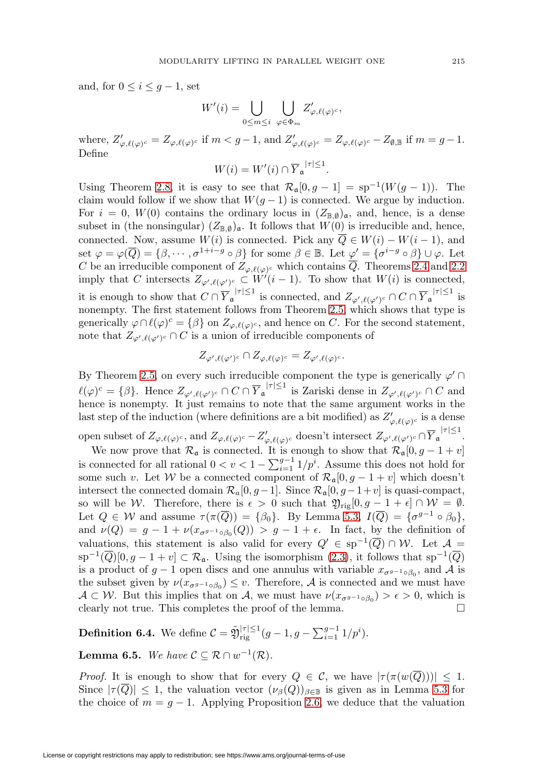and, for  $0 \leq i \leq g-1$ , set

$$
W'(i) = \bigcup_{0 \le m \le i} \bigcup_{\varphi \in \Phi_m} Z'_{\varphi, \ell(\varphi)^c},
$$

where,  $Z'_{\varphi,\ell(\varphi)^c} = Z_{\varphi,\ell(\varphi)^c}$  if  $m < g-1$ , and  $Z'_{\varphi,\ell(\varphi)^c} = Z_{\varphi,\ell(\varphi)^c} - Z_{\emptyset,\mathbb{B}}$  if  $m = g-1$ . Define

$$
W(i) = W'(i) \cap \overline{Y}_{\mathfrak{a}}^{|\tau| \leq 1}.
$$

Using Theorem [2.8,](#page-6-2) it is easy to see that  $\mathcal{R}_{\mathfrak{a}}[0, g - 1] = sp^{-1}(W(g - 1))$ . The claim would follow if we show that  $W(g - 1)$  is connected. We argue by induction. For  $i = 0$ ,  $W(0)$  contains the ordinary locus in  $(Z_{\mathbb{B},\emptyset})_{\mathfrak{a}}$ , and, hence, is a dense subset in (the nonsingular)  $(Z_{\mathbb{B},\emptyset})_{\mathfrak{a}}$ . It follows that  $W(0)$  is irreducible and, hence, connected. Now, assume  $W(i)$  is connected. Pick any  $\overline{Q} \in W(i) - W(i-1)$ , and set  $\varphi = \varphi(\overline{Q}) = \{\beta, \cdots, \sigma^{1+i-g} \circ \beta\}$  for some  $\beta \in \mathbb{B}$ . Let  $\varphi' = \{\sigma^{i-g} \circ \beta\} \cup \varphi$ . Let C be an irreducible component of  $Z_{\varphi,\ell(\varphi)^c}$  which contains  $\overline{Q}$ . Theorems [2.4](#page-5-1) and [2.2](#page-5-2) imply that C intersects  $Z_{\varphi',\ell(\varphi')^c} \subset \widetilde{W}'(i-1)$ . To show that  $W(i)$  is connected, it is enough to show that  $C \cap \overline{Y}_{\mathfrak{a}}^{|\tau| \leq 1}$  is connected, and  $Z_{\varphi', \ell(\varphi')^c} \cap C \cap \overline{Y}_{\mathfrak{a}}^{|\tau| \leq 1}$  is nonempty. The first statement follows from Theorem [2.5,](#page-5-3) which shows that type is generically  $\varphi \cap \ell(\varphi)^c = \{\beta\}$  on  $Z_{\varphi,\ell(\varphi)^c}$ , and hence on C. For the second statement, note that  $Z_{\varphi',\ell(\varphi')^c} \cap C$  is a union of irreducible components of

$$
Z_{\varphi',\ell(\varphi')^c} \cap Z_{\varphi,\ell(\varphi)^c} = Z_{\varphi',\ell(\varphi)^c}.
$$

By Theorem [2.5,](#page-5-3) on every such irreducible component the type is generically  $\varphi' \cap$  $\ell(\varphi)^c = \{\beta\}.$  Hence  $Z_{\varphi',\ell(\varphi')^c} \cap C \cap \overline{Y}_{\mathfrak{a}}^{|\tau| \leq 1}$  is Zariski dense in  $Z_{\varphi',\ell(\varphi')^c} \cap C$  and hence is nonempty. It just remains to note that the same argument works in the last step of the induction (where definitions are a bit modified) as  $Z'_{\varphi,\ell(\varphi)^c}$  is a dense

open subset of  $Z_{\varphi,\ell(\varphi)^c}$ , and  $Z_{\varphi,\ell(\varphi)^c} - Z'_{\varphi,\ell(\varphi)^c}$  doesn't intersect  $Z_{\varphi',\ell(\varphi')^c} \cap \overline{Y}_{\mathfrak{a}}^{\, |\tau| \leq 1}$ .

We now prove that  $\mathcal{R}_{\mathfrak{a}}$  is connected. It is enough to show that  $\mathcal{R}_{\mathfrak{a}}[0, g - 1 + v]$ is connected for all rational  $0 < v < 1 - \sum_{i=1}^{g-1} 1/p^i$ . Assume this does not hold for some such v. Let W be a connected component of  $\mathcal{R}_{\mathfrak{a}}[0, g-1+v]$  which doesn't intersect the connected domain  $\mathcal{R}_a[0, g-1]$ . Since  $\mathcal{R}_a[0, g-1+v]$  is quasi-compact, so will be W. Therefore, there is  $\epsilon > 0$  such that  $\mathfrak{Y}_{\text{rig}}[0, g - 1 + \epsilon] \cap \mathcal{W} = \emptyset$ . Let  $Q \in \mathcal{W}$  and assume  $\tau(\pi(\overline{Q})) = {\beta_0}$ . By Lemma [5.3,](#page-12-1)  $I(\overline{Q}) = {\sigma^{g-1} \circ \beta_0}$ , and  $\nu(Q) = g - 1 + \nu(x_{\sigma^{g-1} \circ \beta_0}(Q)) > g - 1 + \epsilon$ . In fact, by the definition of valuations, this statement is also valid for every  $Q' \in sp^{-1}(\overline{Q}) \cap W$ . Let  $\mathcal{A} =$  $\text{sp}^{-1}(\overline{Q})[0, g-1+v] \subset \mathcal{R}_{\mathfrak{a}}$ . Using the isomorphism  $(2.3)$ , it follows that  $\text{sp}^{-1}(\overline{Q})$ is a product of  $g-1$  open discs and one annulus with variable  $x_{\sigma^{g-1}\circ\beta_0}$ , and A is the subset given by  $\nu(x_{\sigma^{g-1} \circ \beta_0}) \leq v$ . Therefore, A is connected and we must have  $\mathcal{A} \subset \mathcal{W}$ . But this implies that on  $\mathcal{A}$ , we must have  $\nu(x_{\sigma g-1 \circ \beta_0}) > \epsilon > 0$ , which is clearly not true. This completes the proof of the lemma.  $\Box$ 

**Definition 6.4.** We define  $C = \tilde{\mathfrak{Y}}_{\text{rig}}^{|\tau| \leq 1} (g - 1, g - \sum_{i=1}^{g-1} 1/p^i).$ 

<span id="page-16-0"></span>**Lemma 6.5.** We have  $C \subseteq \mathcal{R} \cap w^{-1}(\mathcal{R})$ .

*Proof.* It is enough to show that for every  $Q \in \mathcal{C}$ , we have  $|\tau(\pi(w(\overline{Q})))| \leq 1$ . Since  $|\tau(Q)| \leq 1$ , the valuation vector  $(\nu_{\beta}(Q))_{\beta \in \mathbb{B}}$  is given as in Lemma [5.3](#page-12-1) for the choice of  $m = g - 1$ . Applying Proposition [2.6,](#page-6-0) we deduce that the valuation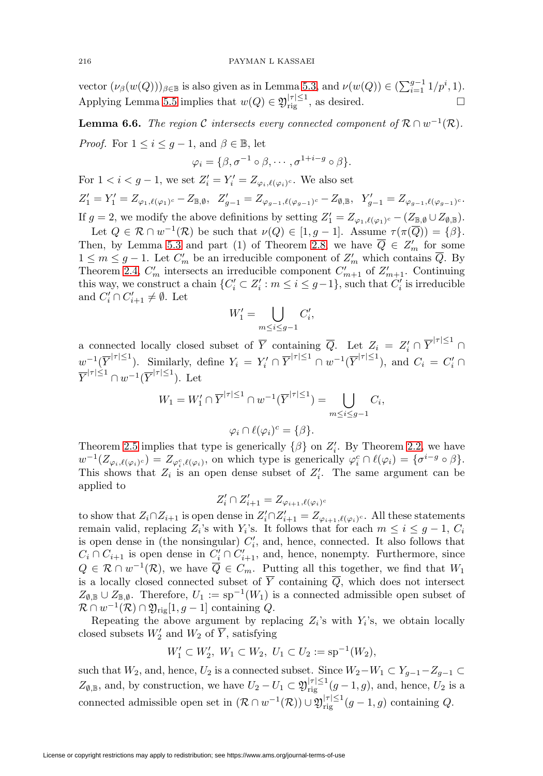vector  $(\nu_\beta(w(Q)))_{\beta \in \mathbb{B}}$  is also given as in Lemma [5.3,](#page-12-1) and  $\nu(w(Q)) \in (\sum_{i=1}^{g-1} 1/p^i, 1)$ . Applying Lemma [5.5](#page-13-0) implies that  $w(Q) \in \mathfrak{Y}_{\text{rig}}^{|\tau| \leq 1}$ , as desired.

<span id="page-17-0"></span>**Lemma 6.6.** The region C intersects every connected component of  $\mathcal{R} \cap w^{-1}(\mathcal{R})$ .

*Proof.* For  $1 \leq i \leq g-1$ , and  $\beta \in \mathbb{B}$ , let  $\varphi_i = \{\beta, \sigma^{-1} \circ \beta, \cdots, \sigma^{1+i-g} \circ \beta\}.$ 

For  $1 < i < g-1$ , we set  $Z_i' = Y_i' = Z_{\varphi_i, \ell(\varphi_i)^c}$ . We also set

 $Z_1'=Y_1'=Z_{\varphi_1,\ell(\varphi_1)^c}-Z_{\mathbb{B},\emptyset},\ \ Z_{g-1}'=Z_{\varphi_{g-1},\ell(\varphi_{g-1})^c}-Z_{\emptyset,\mathbb{B}},\ \ Y_{g-1}'=Z_{\varphi_{g-1},\ell(\varphi_{g-1})^c}.$ If  $g = 2$ , we modify the above definitions by setting  $Z'_1 = Z_{\varphi_1, \ell(\varphi_1)^c} - (Z_{\mathbb{B}, \emptyset} \cup Z_{\emptyset, \mathbb{B}})$ .

Let  $Q \in \mathcal{R} \cap w^{-1}(\mathcal{R})$  be such that  $\nu(Q) \in [1, g-1]$ . Assume  $\tau(\pi(\overline{Q})) = {\beta}.$ Then, by Lemma [5.3](#page-12-1) and part (1) of Theorem [2.8,](#page-6-2) we have  $\overline{Q} \in Z'_m$  for some  $1 \leq m \leq g-1$ . Let  $C'_m$  be an irreducible component of  $Z'_m$  which contains  $\overline{Q}$ . By Theorem [2.4,](#page-5-1)  $C'_m$  intersects an irreducible component  $C'_{m+1}$  of  $Z'_{m+1}$ . Continuing this way, we construct a chain  $\{C_i' \subset Z_i': m \leq i \leq g-1\}$ , such that  $C_i'$  is irreducible and  $C'_i \cap C'_{i+1} \neq \emptyset$ . Let

$$
W_1' = \bigcup_{m \le i \le g-1} C_i',
$$

a connected locally closed subset of  $\overline{Y}$  containing  $\overline{Q}$ . Let  $Z_i = Z'_i \cap \overline{Y}^{|\tau| \leq 1} \cap$  $w^{-1}(\overline{Y}^{|\tau|\leq 1})$ . Similarly, define  $Y_i = Y_i' \cap \overline{Y}^{|\tau|\leq 1} \cap w^{-1}(\overline{Y}^{|\tau|\leq 1})$ , and  $C_i = C_i' \cap$  $\overline{Y}^{|\tau|\leq 1}\cap w^{-1}(\overline{Y}^{|\tau|\leq 1}).$  Let

$$
W_1 = W'_1 \cap \overline{Y}^{|\tau| \le 1} \cap w^{-1}(\overline{Y}^{|\tau| \le 1}) = \bigcup_{m \le i \le g-1} C_i,
$$
  

$$
\varphi_i \cap \ell(\varphi_i)^c = \{\beta\}.
$$

Theorem [2.5](#page-5-3) implies that type is generically  $\{\beta\}$  on  $Z_i'$ . By Theorem [2.2,](#page-5-2) we have  $w^{-1}(Z_{\varphi_i,\ell(\varphi_i)^c}) = Z_{\varphi_i^c,\ell(\varphi_i)},$  on which type is generically  $\varphi_i^c \cap \ell(\varphi_i) = \{\sigma^{i-g} \circ \beta\}.$ This shows that  $Z_i$  is an open dense subset of  $Z'_i$ . The same argument can be applied to

$$
Z_i' \cap Z_{i+1}' = Z_{\varphi_{i+1}, \ell(\varphi_i)^c}
$$

to show that  $Z_i \cap Z_{i+1}$  is open dense in  $Z_i' \cap Z_{i+1}' = Z_{\varphi_{i+1}, \ell(\varphi_i)^c}$ . All these statements remain valid, replacing  $Z_i$ 's with Y<sub>i</sub>'s. It follows that for each  $m \leq i \leq g-1$ ,  $C_i$ is open dense in (the nonsingular)  $C_i'$ , and, hence, connected. It also follows that  $C_i \cap C_{i+1}$  is open dense in  $C'_i \cap C'_{i+1}$ , and, hence, nonempty. Furthermore, since  $Q \in \mathcal{R} \cap w^{-1}(\mathcal{R})$ , we have  $\overline{Q} \in C_m$ . Putting all this together, we find that  $W_1$ is a locally closed connected subset of  $\overline{Y}$  containing  $\overline{Q}$ , which does not intersect  $Z_{\emptyset,\mathbb{B}} \cup Z_{\mathbb{B},\emptyset}$ . Therefore,  $U_1 := sp^{-1}(W_1)$  is a connected admissible open subset of  $\mathcal{R} \cap w^{-1}(\mathcal{R}) \cap \mathfrak{Y}_{\text{rig}}[1, g-1]$  containing Q.

Repeating the above argument by replacing  $Z_i$ 's with  $Y_i$ 's, we obtain locally closed subsets  $W'_2$  and  $W_2$  of  $\overline{Y}$ , satisfying

 $W'_1 \subset W'_2$ ,  $W_1 \subset W_2$ ,  $U_1 \subset U_2 := sp^{-1}(W_2)$ ,

such that  $W_2$ , and, hence,  $U_2$  is a connected subset. Since  $W_2-W_1\subset Y_{q-1}-Z_{q-1}\subset Y_q$  $Z_{\emptyset,\mathbb{B}}$ , and, by construction, we have  $U_2 - U_1 \subset \mathfrak{Y}_{\mathrm{rig}}^{|\tau| \leq 1}(g-1,g)$ , and, hence,  $U_2$  is a connected admissible open set in  $(\mathcal{R} \cap w^{-1}(\mathcal{R})) \cup \mathfrak{Y}_{\text{rig}}^{|\tau| \leq 1}(g-1,g)$  containing Q.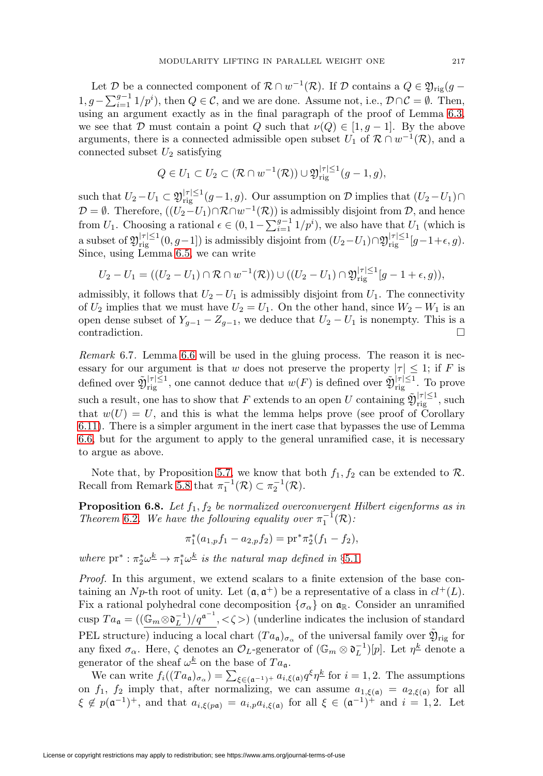Let D be a connected component of  $\mathcal{R} \cap w^{-1}(\mathcal{R})$ . If D contains a  $Q \in \mathfrak{Y}_{\text{rig}}(g 1, g - \sum_{i=1}^{g-1} 1/p^i$ , then  $Q \in \mathcal{C}$ , and we are done. Assume not, i.e.,  $D \cap \mathcal{C} = \emptyset$ . Then, using an argument exactly as in the final paragraph of the proof of Lemma  $6.3$ , we see that D must contain a point Q such that  $\nu(Q) \in [1, g-1]$ . By the above arguments, there is a connected admissible open subset  $U_1$  of  $\mathcal{R} \cap w^{-1}(\mathcal{R})$ , and a connected subset  $U_2$  satisfying

$$
Q \in U_1 \subset U_2 \subset (\mathcal{R} \cap w^{-1}(\mathcal{R})) \cup \mathfrak{Y}_{\mathrm{rig}}^{|\tau| \leq 1} (g-1, g),
$$

such that  $U_2-U_1 \subset \mathfrak{Y}_{\text{rig}}^{|\tau| \leq 1}(g-1,g)$ . Our assumption on  $\mathcal D$  implies that  $(U_2-U_1) \cap$  $\mathcal{D} = \emptyset$ . Therefore,  $((U_2-U_1) \cap \mathcal{R} \cap w^{-1}(\mathcal{R}))$  is admissibly disjoint from  $\mathcal{D}$ , and hence from  $U_1$ . Choosing a rational  $\epsilon \in (0, 1 - \sum_{i=1}^{g-1} 1/p^i)$ , we also have that  $U_1$  (which is a subset of  $\mathfrak{Y}_{\text{rig}}^{|\tau|\leq 1}(0, g-1]$ ) is admissibly disjoint from  $(U_2-U_1) \cap \mathfrak{Y}_{\text{rig}}^{|\tau|\leq 1}[g-1+\epsilon, g)$ . Since, using Lemma [6.5,](#page-16-0) we can write

$$
U_2 - U_1 = ((U_2 - U_1) \cap \mathcal{R} \cap w^{-1}(\mathcal{R})) \cup ((U_2 - U_1) \cap \mathfrak{Y}_{\text{rig}}^{|\tau| \leq 1} [g - 1 + \epsilon, g)),
$$

admissibly, it follows that  $U_2 - U_1$  is admissibly disjoint from  $U_1$ . The connectivity of  $U_2$  implies that we must have  $U_2 = U_1$ . On the other hand, since  $W_2 - W_1$  is an open dense subset of  $Y_{g-1} - Z_{g-1}$ , we deduce that  $U_2 - U_1$  is nonempty. This is a contradiction.

Remark 6.7. Lemma [6.6](#page-17-0) will be used in the gluing process. The reason it is necessary for our argument is that w does not preserve the property  $|\tau| \leq 1$ ; if F is defined over  $\tilde{\mathfrak{Y}}_{\text{rig}}^{|\tau|\leq 1}$ , one cannot deduce that  $w(F)$  is defined over  $\tilde{\mathfrak{Y}}_{\text{rig}}^{|\tau|\leq 1}$ . To prove such a result, one has to show that F extends to an open U containing  $\tilde{\mathfrak{Y}}_{\text{rig}}^{|\tau|\leq 1}$ , such that  $w(U) = U$ , and this is what the lemma helps prove (see proof of Corollary [6.11\)](#page-20-0). There is a simpler argument in the inert case that bypasses the use of Lemma [6.6,](#page-17-0) but for the argument to apply to the general unramified case, it is necessary to argue as above.

Note that, by Proposition [5.7,](#page-13-1) we know that both  $f_1, f_2$  can be extended to  $\mathcal{R}$ . Recall from Remark [5.8](#page-14-1) that  $\pi_1^{-1}(\mathcal{R}) \subset \pi_2^{-1}(\mathcal{R})$ .

<span id="page-18-0"></span>**Proposition 6.8.** Let  $f_1, f_2$  be normalized overconvergent Hilbert eigenforms as in Theorem [6.2](#page-15-1). We have the following equality over  $\pi_1^{-1}(\mathcal{R})$ :

$$
\pi_1^*(a_{1,p}f_1 - a_{2,p}f_2) = \mathrm{pr}^*\pi_2^*(f_1 - f_2),
$$

where  $pr^* : \pi_2^* \omega^{\underline{k}} \to \pi_1^* \omega^{\underline{k}}$  is the natural map defined in §[5.1](#page-11-0).

Proof. In this argument, we extend scalars to a finite extension of the base containing an Np-th root of unity. Let  $(a, a^+)$  be a representative of a class in  $cl^+(L)$ . Fix a rational polyhedral cone decomposition  $\{\sigma_{\alpha}\}\$  on  $\mathfrak{a}_{\mathbb{R}}$ . Consider an unramified cusp  $Ta_{\mathfrak{a}} = ((\mathbb{G}_m \otimes \mathfrak{d}_L^{-1})/q^{\mathfrak{a}^{-1}}, <\zeta>)$  (underline indicates the inclusion of standard PEL structure) inducing a local chart  $(T a_{\mathfrak{a}})_{\sigma_{\alpha}}$  of the universal family over  $\tilde{\mathfrak{Y}}_{\text{rig}}$  for any fixed  $\sigma_{\alpha}$ . Here,  $\zeta$  denotes an  $\mathcal{O}_L$ -generator of  $(\mathbb{G}_m \otimes \mathfrak{d}_L^{-1})[p]$ . Let  $\eta^{\underline{k}}$  denote a generator of the sheaf  $\omega^{\underline{k}}$  on the base of  $Ta_{\mathfrak{a}}$ .

We can write  $f_i((Ta_{\mathfrak{a}})_{\sigma_{\alpha}}) = \sum_{\xi \in (\mathfrak{a}^{-1})^+} a_{i,\xi(\mathfrak{a})} q^{\xi} \eta^{\underline{k}}$  for  $i = 1, 2$ . The assumptions on  $f_1$ ,  $f_2$  imply that, after normalizing, we can assume  $a_{1,\xi(a)} = a_{2,\xi(a)}$  for all  $\xi \notin p(\mathfrak{a}^{-1})^+$ , and that  $a_{i,\xi(p\mathfrak{a})} = a_{i,p}a_{i,\xi(\mathfrak{a})}$  for all  $\xi \in (\mathfrak{a}^{-1})^+$  and  $i = 1,2$ . Let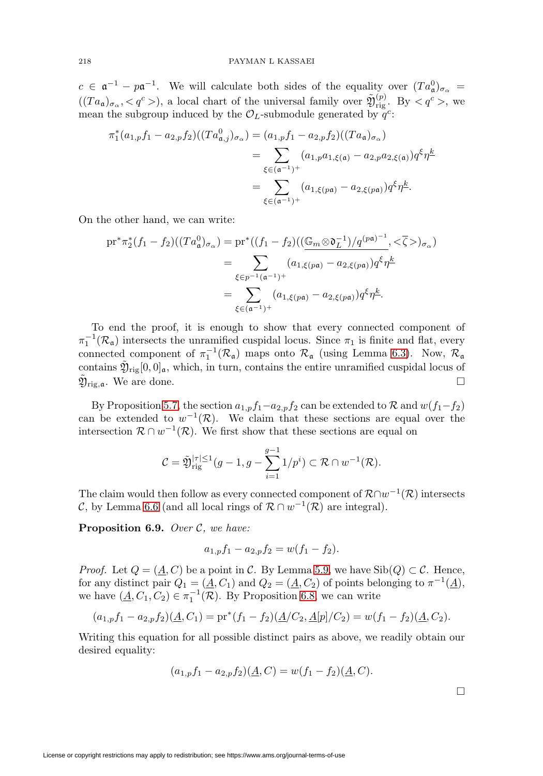$c \in \mathfrak{a}^{-1} - p\mathfrak{a}^{-1}$ . We will calculate both sides of the equality over  $(Ta_{\mathfrak{a}}^0)_{\sigma_{\alpha}} =$  $((Ta_{\mathfrak{a}})_{\sigma_{\alpha}},  >), a local chart of the universal family over  $\tilde{\mathfrak{Y}}_{\text{rig}}^{(p)}$ . By  $< q^c$  >, we$ mean the subgroup induced by the  $\mathcal{O}_L$ -submodule generated by  $q^c$ :

$$
\pi_1^*(a_{1,p}f_1 - a_{2,p}f_2)((Ta_{\mathfrak{a},j}^0)_{\sigma_\alpha}) = (a_{1,p}f_1 - a_{2,p}f_2)((Ta_{\mathfrak{a}})_{\sigma_\alpha})
$$
  
= 
$$
\sum_{\xi \in (\mathfrak{a}^{-1})^+} (a_{1,p}a_{1,\xi(\mathfrak{a})} - a_{2,p}a_{2,\xi(\mathfrak{a})})q^{\xi}\eta^{\underline{k}}
$$
  
= 
$$
\sum_{\xi \in (\mathfrak{a}^{-1})^+} (a_{1,\xi(p\mathfrak{a})} - a_{2,\xi(p\mathfrak{a})})q^{\xi}\eta^{\underline{k}}.
$$

On the other hand, we can write:

$$
pr^* \pi_2^*(f_1 - f_2)((Ta_\mathfrak{a}^0)_{\sigma_\alpha}) = pr^*((f_1 - f_2)((\underbrace{\mathbb{G}_m \otimes \mathfrak{d}_L^{-1}})/q^{(p\mathfrak{a})^{-1}}, <\overline{\zeta}>)_{\sigma_\alpha})
$$
  
\n
$$
= \sum_{\xi \in p^{-1}(\mathfrak{a}^{-1})^+} (a_{1,\xi(p\mathfrak{a})} - a_{2,\xi(p\mathfrak{a})})q^{\xi} \eta^{\underline{k}}
$$
  
\n
$$
= \sum_{\xi \in (\mathfrak{a}^{-1})^+} (a_{1,\xi(p\mathfrak{a})} - a_{2,\xi(p\mathfrak{a})})q^{\xi} \eta^{\underline{k}}.
$$

To end the proof, it is enough to show that every connected component of  $\pi_1^{-1}(\mathcal{R}_\mathfrak{a})$  intersects the unramified cuspidal locus. Since  $\pi_1$  is finite and flat, every connected component of  $\pi_1^{-1}(\mathcal{R}_\mathfrak{a})$  maps onto  $\mathcal{R}_\mathfrak{a}$  (using Lemma [6.3\)](#page-15-0). Now,  $\mathcal{R}_\mathfrak{a}$ contains  $\tilde{\mathfrak{Y}}_{\text{rig}}[0,0]_{\mathfrak{a}}$ , which, in turn, contains the entire unramified cuspidal locus of  $\mathfrak{Y}_{\mathrm{rig},\mathfrak{a}}$ . We are done.

By Proposition [5.7,](#page-13-1) the section  $a_{1,p}f_1-a_{2,p}f_2$  can be extended to R and  $w(f_1-f_2)$ can be extended to  $w^{-1}(\mathcal{R})$ . We claim that these sections are equal over the intersection  $\mathcal{R} \cap w^{-1}(\mathcal{R})$ . We first show that these sections are equal on

$$
\mathcal{C} = \tilde{\mathfrak{Y}}_{\mathrm{rig}}^{|\tau| \leq 1} (g - 1, g - \sum_{i=1}^{g-1} 1/p^i) \subset \mathcal{R} \cap w^{-1}(\mathcal{R}).
$$

The claim would then follow as every connected component of  $\mathcal{R} \cap w^{-1}(\mathcal{R})$  intersects C, by Lemma [6.6](#page-17-0) (and all local rings of  $\mathcal{R} \cap w^{-1}(\mathcal{R})$  are integral).

<span id="page-19-0"></span>**Proposition 6.9.** Over C, we have:

$$
a_{1,p}f_1 - a_{2,p}f_2 = w(f_1 - f_2).
$$

*Proof.* Let  $Q = (\underline{A}, C)$  be a point in C. By Lemma [5.9,](#page-14-2) we have Sib $(Q) \subset C$ . Hence, for any distinct pair  $Q_1 = (\underline{A}, C_1)$  and  $Q_2 = (\underline{A}, C_2)$  of points belonging to  $\pi^{-1}(\underline{A})$ , we have  $(\underline{A}, C_1, C_2) \in \pi_1^{-1}(\mathcal{R})$ . By Proposition [6.8,](#page-18-0) we can write

$$
(a_{1,p}f_1 - a_{2,p}f_2)(\underline{A}, C_1) = pr^*(f_1 - f_2)(\underline{A}/C_2, \underline{A}[p]/C_2) = w(f_1 - f_2)(\underline{A}, C_2).
$$

Writing this equation for all possible distinct pairs as above, we readily obtain our desired equality:

$$
(a_{1,p}f_1 - a_{2,p}f_2)(\underline{A}, C) = w(f_1 - f_2)(\underline{A}, C).
$$

 $\Box$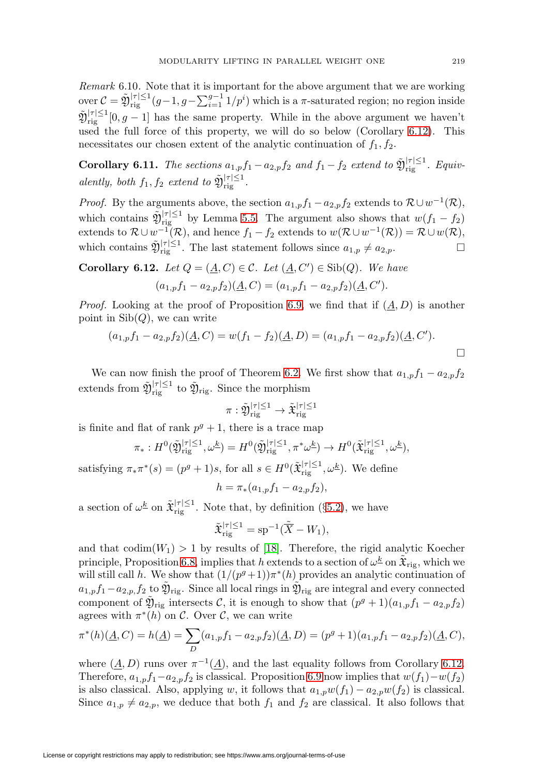Remark 6.10. Note that it is important for the above argument that we are working over  $\mathcal{C} = \tilde{\mathfrak{Y}}_{\text{rig}}^{|\tau| \leq 1} (g-1, g-\sum_{i=1}^{g-1} 1/p^i)$  which is a π-saturated region; no region inside  $\tilde{\mathfrak{Y}}_{\text{rig}}^{|\tau|\leq 1}[0,g-1]$  has the same property. While in the above argument we haven't used the full force of this property, we will do so below (Corollary [6.12\)](#page-20-1). This necessitates our chosen extent of the analytic continuation of  $f_1, f_2$ .

<span id="page-20-0"></span>**Corollary 6.11.** The sections  $a_{1,p}f_1 - a_{2,p}f_2$  and  $f_1 - f_2$  extend to  $\tilde{\mathfrak{Y}}_{\text{rig}}^{|\tau| \leq 1}$ . Equivalently, both  $f_1, f_2$  extend to  $\tilde{\mathfrak{Y}}_{\text{rig}}^{|\tau| \leq 1}$ .

*Proof.* By the arguments above, the section  $a_{1,p}f_1 - a_{2,p}f_2$  extends to  $\mathcal{R} \cup w^{-1}(\mathcal{R})$ , which contains  $\tilde{\mathfrak{Y}}_{\text{rig}}^{|\tau|\leq 1}$  by Lemma [5.5.](#page-13-0) The argument also shows that  $w(f_1 - f_2)$ extends to  $\mathcal{R} \cup w^{-1}(\mathcal{R})$ , and hence  $f_1 - f_2$  extends to  $w(\mathcal{R} \cup w^{-1}(\mathcal{R})) = \mathcal{R} \cup w(\mathcal{R}),$ which contains  $\tilde{\mathfrak{Y}}_{\text{rig}}^{|\tau|\leq 1}$ . The last statement follows since  $a_{1,p} \neq a_{2,p}$ .

<span id="page-20-1"></span>**Corollary 6.12.** Let  $Q = (\underline{A}, C) \in \mathcal{C}$ . Let  $(\underline{A}, C') \in \text{Sib}(Q)$ . We have

$$
(a_{1,p}f_1 - a_{2,p}f_2)(\underline{A}, C) = (a_{1,p}f_1 - a_{2,p}f_2)(\underline{A}, C').
$$

*Proof.* Looking at the proof of Proposition [6.9,](#page-19-0) we find that if  $(A, D)$  is another point in  $\text{Sib}(Q)$ , we can write

$$
(a_{1,p}f_1 - a_{2,p}f_2)(\underline{A}, C) = w(f_1 - f_2)(\underline{A}, D) = (a_{1,p}f_1 - a_{2,p}f_2)(\underline{A}, C').
$$

We can now finish the proof of Theorem [6.2.](#page-15-1) We first show that  $a_{1,p}f_1 - a_{2,p}f_2$ extends from  $\tilde{\mathfrak{Y}}_{\text{rig}}^{|\tau|\leq 1}$  to  $\tilde{\mathfrak{Y}}_{\text{rig}}$ . Since the morphism

$$
\pi: \tilde{\mathfrak{Y}}_{\mathrm{rig}}^{|\tau|\leq 1} \to \tilde{\mathfrak{X}}_{\mathrm{rig}}^{|\tau|\leq 1}
$$

is finite and flat of rank  $p^g + 1$ , there is a trace map

$$
\pi_*: H^0(\tilde{\mathfrak{Y}}_{\mathrm{rig}}^{|\tau|\leq 1}, \omega^{\underline{k}}) = H^0(\tilde{\mathfrak{Y}}_{\mathrm{rig}}^{|\tau|\leq 1}, \pi^*\omega^{\underline{k}}) \to H^0(\tilde{\mathfrak{X}}_{\mathrm{rig}}^{|\tau|\leq 1}, \omega^{\underline{k}}),
$$

satisfying  $\pi_* \pi^*(s) = (p^g + 1)s$ , for all  $s \in H^0(\tilde{\mathfrak{X}}_{\text{rig}}^{|\tau| \leq 1}, \omega^{\underline{k}})$ . We define  $h = \pi_*(a_{1,p}f_1 - a_{2,p}f_2),$ 

a section of  $\omega^{\underline{k}}$  on  $\tilde{\mathfrak{X}}_{\text{rig}}^{|\tau|\leq 1}$ . Note that, by definition (§[5.2\)](#page-12-3), we have

$$
\tilde{\mathfrak{X}}_{\text{rig}}^{|\tau|\leq 1} = \text{sp}^{-1}(\tilde{\overline{X}} - W_1),
$$

and that  $\text{codim}(W_1) > 1$  by results of [\[18\]](#page-25-13). Therefore, the rigid analytic Koecher principle, Proposition [6.8,](#page-18-0) implies that h extends to a section of  $\omega^{\underline{k}}$  on  $\mathfrak{X}_{\text{rig}}$ , which we will still call h. We show that  $(1/(p<sup>g</sup>+1))\pi<sup>*</sup>(h)$  provides an analytic continuation of  $a_{1,p}f_1-a_{2,p}f_2$  to  $\tilde{\mathfrak{Y}}_{\text{rig}}$ . Since all local rings in  $\tilde{\mathfrak{Y}}_{\text{rig}}$  are integral and every connected component of  $\tilde{\mathfrak{Y}}_{\text{rig}}$  intersects C, it is enough to show that  $(p^g + 1)(a_{1,p}f_1 - a_{2,p}f_2)$ agrees with  $\pi^*(h)$  on C. Over C, we can write

$$
\pi^*(h)(\underline{A}, C) = h(\underline{A}) = \sum_D (a_{1,p}f_1 - a_{2,p}f_2)(\underline{A}, D) = (p^g + 1)(a_{1,p}f_1 - a_{2,p}f_2)(\underline{A}, C),
$$

where  $(\underline{A}, D)$  runs over  $\pi^{-1}(\underline{A})$ , and the last equality follows from Corollary [6.12.](#page-20-1) Therefore,  $a_{1,p}f_1-a_{2,p}f_2$  is classical. Proposition [6.9](#page-19-0) now implies that  $w(f_1)-w(f_2)$ is also classical. Also, applying w, it follows that  $a_{1,p}w(f_1) - a_{2,p}w(f_2)$  is classical. Since  $a_{1,p} \neq a_{2,p}$ , we deduce that both  $f_1$  and  $f_2$  are classical. It also follows that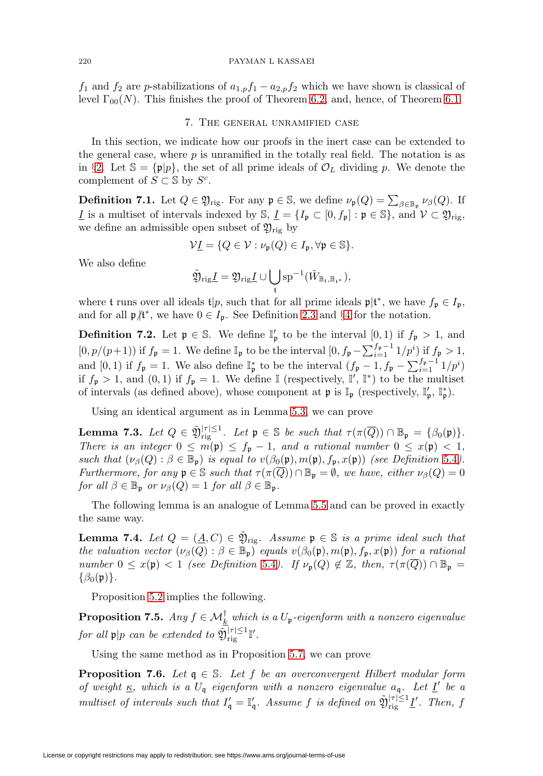<span id="page-21-0"></span> $f_1$  and  $f_2$  are p-stabilizations of  $a_{1,p}f_1 - a_{2,p}f_2$  which we have shown is classical of level  $\Gamma_{00}(N)$ . This finishes the proof of Theorem [6.2,](#page-15-1) and, hence, of Theorem [6.1.](#page-14-0)

### 7. The general unramified case

In this section, we indicate how our proofs in the inert case can be extended to the general case, where  $p$  is unramified in the totally real field. The notation is as in §[2.](#page-2-1) Let  $\mathbb{S} = {\{\mathfrak{p}|p\}}$ , the set of all prime ideals of  $\mathcal{O}_L$  dividing p. We denote the complement of  $S \subset \mathbb{S}$  by  $S^c$ .

**Definition 7.1.** Let  $Q \in \mathfrak{Y}_{\text{rig}}$ . For any  $\mathfrak{p} \in \mathbb{S}$ , we define  $\nu_{\mathfrak{p}}(Q) = \sum_{\beta \in \mathbb{B}_{\mathfrak{p}}} \nu_{\beta}(Q)$ . If I is a multiset of intervals indexed by  $\mathbb{S}, \underline{I} = \{I_{\mathfrak{p}} \subset [0, f_{\mathfrak{p}}] : \mathfrak{p} \in \mathbb{S}\},\$ and  $\mathcal{V} \subset \mathfrak{Y}_{\mathrm{rig}},$ we define an admissible open subset of  $\mathfrak{Y}_{\text{rig}}$  by

$$
\mathcal{V}\underline{I} = \{Q \in \mathcal{V} : \nu_{\mathfrak{p}}(Q) \in I_{\mathfrak{p}}, \forall \mathfrak{p} \in \mathbb{S}\}.
$$

We also define

$$
\tilde{\mathfrak{Y}}_{\mathrm{rig}}\underline{\mathit{I}}=\mathfrak{Y}_{\mathrm{rig}}\underline{\mathit{I}}\cup\bigcup_{\mathfrak{t}}\mathrm{sp}^{-1}(\tilde{W}_{\mathbb{B}_{\mathfrak{t}},\mathbb{B}_{\mathfrak{t}^*}}),
$$

where t runs over all ideals  $t|p$ , such that for all prime ideals  $\mathfrak{p} | t^*$ , we have  $f_{\mathfrak{p}} \in I_{\mathfrak{p}}$ , and for all  $\mathfrak{p}/\mathfrak{t}^*$ , we have  $0 \in I_{\mathfrak{p}}$ . See Definition [2.3](#page-5-0) and §[4](#page-9-3) for the notation.

**Definition 7.2.** Let  $\mathfrak{p} \in \mathbb{S}$ . We define  $\mathbb{I}'_{\mathfrak{p}}$  to be the interval  $[0,1)$  if  $f_{\mathfrak{p}} > 1$ , and  $[0, p/(p+1))$  if  $f_{\mathfrak{p}} = 1$ . We define  $\mathbb{I}_{\mathfrak{p}}$  to be the interval  $[0, f_{\mathfrak{p}} - \sum_{i=1}^{f_{\mathfrak{p}}-1} 1/p^i)$  if  $f_{\mathfrak{p}} > 1$ , and [0, 1) if  $f_{\mathfrak{p}} = 1$ . We also define  $\mathbb{I}_{\mathfrak{p}}^*$  to be the interval  $(f_{\mathfrak{p}} - 1, f_{\mathfrak{p}} - \sum_{i=1}^{f_{\mathfrak{p}}-1} 1/p^i)$ if  $f_{\mathfrak{p}} > 1$ , and  $(0,1)$  if  $f_{\mathfrak{p}} = 1$ . We define I (respectively, I', I<sup>\*</sup>) to be the multiset of intervals (as defined above), whose component at  $\mathfrak{p}$  is  $\mathbb{I}_{\mathfrak{p}}$  (respectively,  $\mathbb{I}'_{\mathfrak{p}}, \mathbb{I}^*_{\mathfrak{p}}$ ).

Using an identical argument as in Lemma [5.3,](#page-12-1) we can prove

**Lemma 7.3.** Let  $Q \in \tilde{\mathfrak{Y}}_{\text{rig}}^{|\tau| \leq 1}$ . Let  $\mathfrak{p} \in \mathbb{S}$  be such that  $\tau(\pi(\overline{Q})) \cap \mathbb{B}_{\mathfrak{p}} = {\beta_0(\mathfrak{p})}.$ There is an integer  $0 \leq m(\mathfrak{p}) \leq f_{\mathfrak{p}} - 1$ , and a rational number  $0 \leq x(\mathfrak{p}) < 1$ , such that  $(\nu_\beta(Q) : \beta \in \mathbb{B}_p)$  is equal to  $v(\beta_0(p), m(p), f_p, x(p))$  (see Definition [5.4](#page-13-2)). Furthermore, for any  $\mathfrak{p} \in \mathbb{S}$  such that  $\tau(\pi(\overline{Q})) \cap \mathbb{B}_{\mathfrak{p}} = \emptyset$ , we have, either  $\nu_{\beta}(Q) = 0$ for all  $\beta \in \mathbb{B}_{\mathfrak{p}}$  or  $\nu_{\beta}(Q)=1$  for all  $\beta \in \mathbb{B}_{\mathfrak{p}}$ .

The following lemma is an analogue of Lemma [5.5](#page-13-0) and can be proved in exactly the same way.

<span id="page-21-3"></span>**Lemma 7.4.** Let  $Q = (\underline{A}, C) \in \tilde{\mathfrak{Y}}_{\text{rig}}$ . Assume  $\mathfrak{p} \in \mathbb{S}$  is a prime ideal such that the valuation vector  $(\nu_\beta(Q) : \beta \in \mathbb{B}_p)$  equals  $v(\beta_0(p), m(p), f_p, x(p))$  for a rational number  $0 \leq x(\mathfrak{p}) < 1$  (see Definition [5.4](#page-13-2)). If  $\nu_{\mathfrak{p}}(Q) \notin \mathbb{Z}$ , then,  $\tau(\pi(\overline{Q})) \cap \mathbb{B}_{\mathfrak{p}} =$  $\{\beta_0(\mathfrak{p})\}.$ 

Proposition [5.2](#page-12-0) implies the following.

<span id="page-21-1"></span>**Proposition 7.5.** Any  $f \in \mathcal{M}_k^{\dagger}$  which is a  $U_p$ -eigenform with a nonzero eigenvalue for all  $\mathfrak{p}|p$  can be extended to  $\tilde{\mathfrak{Y}}_{\mathrm{rig}}^{|\tau|\leq 1}\mathbb{I}'.$ 

Using the same method as in Proposition [5.7,](#page-13-1) we can prove

<span id="page-21-2"></span>**Proposition 7.6.** Let  $q \in \mathbb{S}$ . Let f be an overconvergent Hilbert modular form of weight  $\underline{\kappa}$ , which is a  $U_{\mathfrak{q}}$  eigenform with a nonzero eigenvalue  $a_{\mathfrak{q}}$ . Let  $\underline{I}'$  be a multiset of intervals such that  $I'_{\mathsf{q}} = \mathbb{I}'_{\mathsf{q}}$ . Assume f is defined on  $\tilde{\mathfrak{Y}}_{\text{rig}}^{|\tau| \leq 1} \underline{I}'$ . Then, f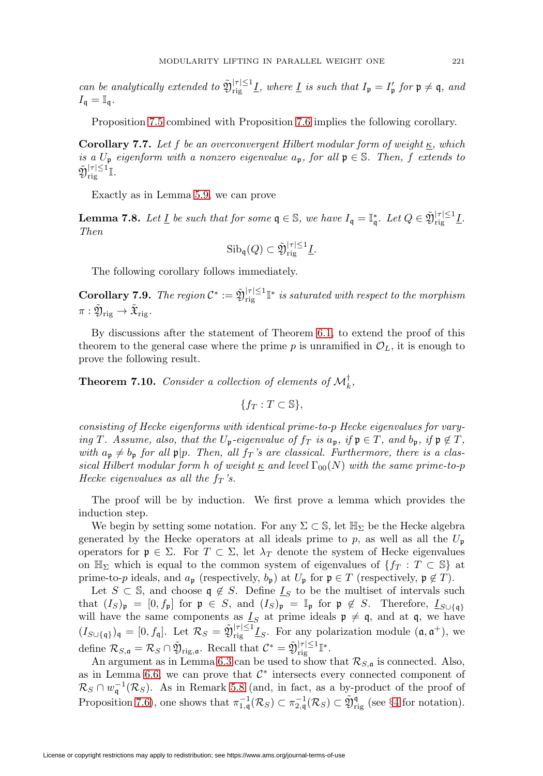can be analytically extended to  $\tilde{\mathfrak{Y}}_{\text{rig}}^{|\tau| \leq 1}$  where  $\underline{I}$  is such that  $I_{\mathfrak{p}} = I'_{\mathfrak{p}}$  for  $\mathfrak{p} \neq \mathfrak{q}$ , and  $I_{\mathfrak{q}} = \mathbb{I}_{\mathfrak{q}}$ .

Proposition [7.5](#page-21-1) combined with Proposition [7.6](#page-21-2) implies the following corollary.

**Corollary 7.7.** Let f be an overconvergent Hilbert modular form of weight  $\kappa$ , which is a  $U_{\mathfrak{p}}$  eigenform with a nonzero eigenvalue  $a_{\mathfrak{p}}$ , for all  $\mathfrak{p} \in \mathbb{S}$ . Then, f extends to  $\tilde{\mathfrak{Y}}_{\mathrm{rig}}^{|\tau|\leq 1}$ I.

Exactly as in Lemma [5.9,](#page-14-2) we can prove

<span id="page-22-0"></span>**Lemma 7.8.** Let  $\underline{I}$  be such that for some  $\mathfrak{q} \in \mathbb{S}$ , we have  $I_{\mathfrak{q}} = \mathbb{I}_{\mathfrak{q}}^*$ . Let  $Q \in \mathfrak{D}_{\mathrm{rig}}^{|\tau| \leq 1}$ . Then

$$
\mathrm{Sib}_{\mathfrak{q}}(Q) \subset \tilde{\mathfrak{Y}}_{\mathrm{rig}}^{|\tau| \leq 1} \underline{I}.
$$

The following corollary follows immediately.

**Corollary 7.9.** The region  $\mathcal{C}^* := \tilde{\mathfrak{Y}}_{\text{rig}}^{|\tau| \leq 1} \mathbb{I}^*$  is saturated with respect to the morphism  $\pi : \tilde{\mathfrak{Y}}_{\mathrm{rig}} \to \tilde{\mathfrak{X}}_{\mathrm{rig}}.$ 

By discussions after the statement of Theorem [6.1,](#page-14-0) to extend the proof of this theorem to the general case where the prime  $p$  is unramified in  $\mathcal{O}_L$ , it is enough to prove the following result.

<span id="page-22-1"></span>**Theorem 7.10.** Consider a collection of elements of  $\mathcal{M}_k^{\dagger}$ ,

$$
\{f_T : T \subset \mathbb{S}\},\
$$

consisting of Hecke eigenforms with identical prime-to-p Hecke eigenvalues for varying T. Assume, also, that the  $U_p$ -eigenvalue of  $f_T$  is  $a_p$ , if  $\mathfrak{p} \in T$ , and  $b_p$ , if  $\mathfrak{p} \notin T$ , with  $a_p \neq b_p$  for all  $p|p$ . Then, all  $f_T$ 's are classical. Furthermore, there is a classical Hilbert modular form h of weight  $K$  and level  $\Gamma_{00}(N)$  with the same prime-to-p Hecke eigenvalues as all the  $f_T$ 's.

The proof will be by induction. We first prove a lemma which provides the induction step.

We begin by setting some notation. For any  $\Sigma \subset \mathbb{S}$ , let  $\mathbb{H}_{\Sigma}$  be the Hecke algebra generated by the Hecke operators at all ideals prime to p, as well as all the  $U_p$ operators for  $\mathfrak{p} \in \Sigma$ . For  $T \subset \Sigma$ , let  $\lambda_T$  denote the system of Hecke eigenvalues on  $\mathbb{H}_{\Sigma}$  which is equal to the common system of eigenvalues of  $\{f_T : T \subset \mathbb{S}\}\$ at prime-to-p ideals, and  $a_{\mathfrak{p}}$  (respectively,  $b_{\mathfrak{p}}$ ) at  $U_{\mathfrak{p}}$  for  $\mathfrak{p} \in T$  (respectively,  $\mathfrak{p} \notin T$ ).

Let  $S \subset \mathbb{S}$ , and choose  $\mathfrak{q} \notin S$ . Define  $I_S$  to be the multiset of intervals such that  $(I_S)_{\mathfrak{p}} = [0, f_{\mathfrak{p}}]$  for  $\mathfrak{p} \in S$ , and  $(I_S)_{\mathfrak{p}} = \mathbb{I}_{\mathfrak{p}}$  for  $\mathfrak{p} \notin S$ . Therefore,  $I_{S \cup \{\mathfrak{q}\}}$ will have the same components as  $I<sub>S</sub>$  at prime ideals  $\mathfrak{p} \neq \mathfrak{q}$ , and at  $\mathfrak{q}$ , we have  $(I_{S\cup\{\mathfrak{q}\}})_{\mathfrak{q}} = [0, f_{\mathfrak{q}}]$ . Let  $\mathcal{R}_S = \tilde{\mathfrak{Y}}_{\text{rig}}^{|\tau| \leq 1} I_S$ . For any polarization module  $(\mathfrak{a}, \mathfrak{a}^+)$ , we define  $\mathcal{R}_{S,\mathfrak{a}} = \mathcal{R}_S \cap \tilde{\mathfrak{Y}}_{\mathrm{rig},\mathfrak{a}}$ . Recall that  $\mathcal{C}^* = \tilde{\mathfrak{Y}}_{\mathrm{rig}}^{|\tau| \leq 1} \mathbb{I}^*.$ 

An argument as in Lemma [6.3](#page-15-0) can be used to show that  $\mathcal{R}_{S,\mathfrak{a}}$  is connected. Also, as in Lemma [6.6,](#page-17-0) we can prove that  $\mathcal{C}^*$  intersects every connected component of  $\mathcal{R}_S \cap w_{\mathsf{q}}^{-1}(\mathcal{R}_S)$ . As in Remark [5.8](#page-14-1) (and, in fact, as a by-product of the proof of Proposition [7.6\)](#page-21-2), one shows that  $\pi_{1,\mathsf{q}}^{-1}(\mathcal{R}_S) \subset \pi_{2,\mathsf{q}}^{-1}(\mathcal{R}_S) \subset \tilde{\mathfrak{Y}}_{\text{rig}}^{\mathsf{q}}$  (see §[4](#page-9-3) for notation).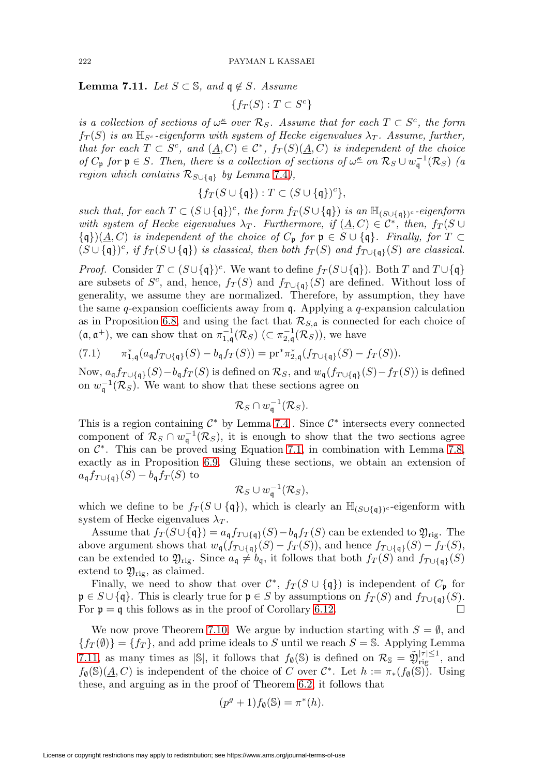<span id="page-23-1"></span>**Lemma 7.11.** Let  $S \subset \mathbb{S}$ , and  $q \notin S$ . Assume

$$
\{f_T(S) : T \subset S^c\}
$$

is a collection of sections of  $\omega^k$  over  $\mathcal{R}_S$ . Assume that for each  $T \subset S^c$ , the form  $f_T(S)$  is an  $\mathbb{H}_{S^c}$ -eigenform with system of Hecke eigenvalues  $\lambda_T$ . Assume, further, that for each  $T \subset S^c$ , and  $(\underline{A}, C) \in C^*$ ,  $f_T(S)(\underline{A}, C)$  is independent of the choice of  $C_{\mathfrak{p}}$  for  $\mathfrak{p} \in S$ . Then, there is a collection of sections of  $\omega^{\underline{\kappa}}$  on  $\mathcal{R}_S \cup w_{\mathfrak{q}}^{-1}(\mathcal{R}_S)$  (a region which contains  $\mathcal{R}_{S\cup\{\mathfrak{q}\}}$  by Lemma [7.4](#page-21-3)),

$$
\{f_T(S\cup\{\mathfrak{q}\}): T\subset (S\cup\{\mathfrak{q}\})^c\},
$$

such that, for each  $T \subset (S \cup \{\mathfrak{q}\})^c$ , the form  $f_T(S \cup \{\mathfrak{q}\})$  is an  $\mathbb{H}_{(S \cup \{\mathfrak{q}\})^c}$ -eigenform with system of Hecke eigenvalues  $\lambda_T$ . Furthermore, if  $(\underline{A}, C) \in C^*$ , then,  $f_T(S \cup$  ${\sf q}\}(A,C)$  is independent of the choice of  $C_{\sf p}$  for  ${\sf p} \in S \cup {\sf q}$ . Finally, for  $T \subset$  $(S \cup \{\mathfrak{q}\})^c$ , if  $f_T(S \cup \{\mathfrak{q}\})$  is classical, then both  $f_T(S)$  and  $f_{T \cup \{\mathfrak{q}\}}(S)$  are classical.

*Proof.* Consider  $T \subset (S \cup \{\mathfrak{q}\})^c$ . We want to define  $f_T(S \cup \{\mathfrak{q}\})$ . Both T and  $T \cup \{\mathfrak{q}\}$ are subsets of  $S^c$ , and, hence,  $f_T(S)$  and  $f_{T\cup\{q\}}(S)$  are defined. Without loss of generality, we assume they are normalized. Therefore, by assumption, they have the same  $q$ -expansion coefficients away from  $q$ . Applying a  $q$ -expansion calculation as in Proposition [6.8,](#page-18-0) and using the fact that  $\mathcal{R}_{S,\mathfrak{a}}$  is connected for each choice of  $(\mathfrak{a}, \mathfrak{a}^+)$ , we can show that on  $\pi_{1,\mathfrak{q}}^{-1}(\mathcal{R}_S)$   $(\subset \pi_{2,\mathfrak{q}}^{-1}(\mathcal{R}_S))$ , we have

<span id="page-23-0"></span>(7.1) 
$$
\pi_{1,\mathfrak{q}}^*(a_{\mathfrak{q}}f_{T\cup\{\mathfrak{q}\}}(S)-b_{\mathfrak{q}}f_T(S))=\mathrm{pr}^*\pi_{2,\mathfrak{q}}^*(f_{T\cup\{\mathfrak{q}\}}(S)-f_T(S)).
$$

Now,  $a_{\mathfrak{q}}f_{T\cup\{\mathfrak{q}\}}(S)-b_{\mathfrak{q}}f_T(S)$  is defined on  $\mathcal{R}_S$ , and  $w_{\mathfrak{q}}(f_{T\cup\{\mathfrak{q}\}}(S)-f_T(S))$  is defined on  $w_{\mathfrak{q}}^{-1}(\mathcal{R}_S)$ . We want to show that these sections agree on

$$
\mathcal{R}_S \cap w^{-1}_{\mathfrak{q}}(\mathcal{R}_S).
$$

This is a region containing  $\mathcal{C}^*$  by Lemma [7.4](#page-21-3) . Since  $\mathcal{C}^*$  intersects every connected component of  $\mathcal{R}_S \cap w^{-1}_{\mathfrak{q}}(\mathcal{R}_S)$ , it is enough to show that the two sections agree on C∗. This can be proved using Equation [7.1,](#page-23-0) in combination with Lemma [7.8,](#page-22-0) exactly as in Proposition [6.9.](#page-19-0) Gluing these sections, we obtain an extension of  $a_{\mathfrak{q}}f_{T\cup\{\mathfrak{q}\}}(S) - b_{\mathfrak{q}}f_T(S)$  to

$$
\mathcal{R}_S \cup w^{-1}_{\mathfrak{q}}(\mathcal{R}_S),
$$

which we define to be  $f_T(S \cup \{\mathfrak{q}\})$ , which is clearly an  $\mathbb{H}_{(S \cup \{\mathfrak{q}\})^c}$ -eigenform with system of Hecke eigenvalues  $\lambda_T$ .

Assume that  $f_T(S \cup \{\mathfrak{q}\}) = a_{\mathfrak{q}} f_{T \cup \{\mathfrak{q}\}}(S) - b_{\mathfrak{q}} f_T(S)$  can be extended to  $\mathfrak{Y}_{\text{rig}}$ . The above argument shows that  $w_{\mathfrak{q}}(f_{T\cup\{\mathfrak{q}\}}(S) - f_T(S))$ , and hence  $f_{T\cup\{\mathfrak{q}\}}(S) - f_T(S)$ , can be extended to  $\mathfrak{Y}_{\text{rig}}$ . Since  $a_{\mathfrak{q}} \neq b_{\mathfrak{q}}$ , it follows that both  $f_T(S)$  and  $f_{T\cup{\mathfrak{q}}}(S)$ extend to  $\mathfrak{Y}_{\text{rig}}$ , as claimed.

Finally, we need to show that over  $\mathcal{C}^*$ ,  $f_T(S \cup \{q\})$  is independent of  $C_p$  for  $\mathfrak{p} \in S \cup \{\mathfrak{q}\}.$  This is clearly true for  $\mathfrak{p} \in S$  by assumptions on  $f_T(S)$  and  $f_{T\cup\{\mathfrak{q}\}}(S)$ . For  $p = q$  this follows as in the proof of Corollary [6.12.](#page-20-1)

We now prove Theorem [7.10.](#page-22-1) We argue by induction starting with  $S = \emptyset$ , and  ${f_T(\emptyset)} = {f_T}$ , and add prime ideals to S until we reach  $S = S$ . Applying Lemma [7.11,](#page-23-1) as many times as  $|\mathbb{S}|$ , it follows that  $f_{\emptyset}(\mathbb{S})$  is defined on  $\mathcal{R}_{\mathbb{S}} = \tilde{\mathfrak{Y}}_{\text{rig}}^{|\tau| \leq 1}$ , and  $f_{\emptyset}(\mathbb{S})(\underline{A}, C)$  is independent of the choice of C over  $\mathcal{C}^*$ . Let  $h := \pi_*(f_{\emptyset}(\mathbb{S}))$ . Using these, and arguing as in the proof of Theorem [6.2,](#page-15-1) it follows that

$$
(p^g+1)f_{\emptyset}(\mathbb{S}) = \pi^*(h).
$$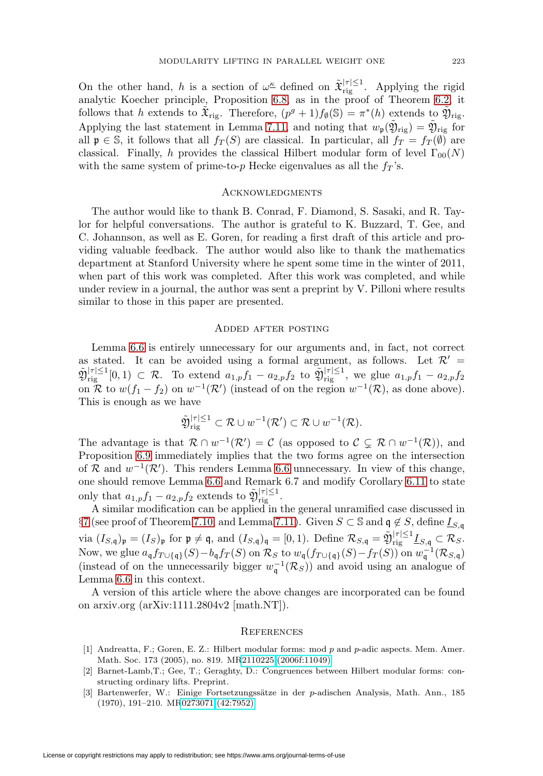On the other hand, h is a section of  $\omega^{\underline{\kappa}}$  defined on  $\tilde{\mathfrak{X}}_{\text{rig}}^{|\tau|\leq 1}$ . Applying the rigid analytic Koecher principle, Proposition [6.8,](#page-18-0) as in the proof of Theorem [6.2,](#page-15-1) it follows that h extends to  $\tilde{\mathfrak{X}}_{\text{rig}}$ . Therefore,  $(p^g + 1)f_{\emptyset}(\mathbb{S}) = \pi^*(h)$  extends to  $\tilde{\mathfrak{Y}}_{\text{rig}}$ . Applying the last statement in Lemma [7.11,](#page-23-1) and noting that  $w_{\mathfrak{p}}(\mathfrak{Y}_{\text{rig}}) = \mathfrak{Y}_{\text{rig}}$  for all  $\mathfrak{p} \in \mathbb{S}$ , it follows that all  $f_T(S)$  are classical. In particular, all  $f_T = f_T(\emptyset)$  are classical. Finally, h provides the classical Hilbert modular form of level  $\Gamma_{00}(N)$ with the same system of prime-to-p Hecke eigenvalues as all the  $f_T$ 's.

#### **ACKNOWLEDGMENTS**

The author would like to thank B. Conrad, F. Diamond, S. Sasaki, and R. Taylor for helpful conversations. The author is grateful to K. Buzzard, T. Gee, and C. Johannson, as well as E. Goren, for reading a first draft of this article and providing valuable feedback. The author would also like to thank the mathematics department at Stanford University where he spent some time in the winter of 2011, when part of this work was completed. After this work was completed, and while under review in a journal, the author was sent a preprint by V. Pilloni where results similar to those in this paper are presented.

#### Added after posting

Lemma [6.6](#page-17-0) is entirely unnecessary for our arguments and, in fact, not correct as stated. It can be avoided using a formal argument, as follows. Let  $\mathcal{R}' =$  $\tilde{\mathfrak{Y}}_{\text{rig}}^{|\tau|\leq 1}[0,1] \subset \mathcal{R}$ . To extend  $a_{1,p}f_1 - a_{2,p}f_2$  to  $\tilde{\mathfrak{Y}}_{\text{rig}}^{|\tau|\leq 1}$ , we glue  $a_{1,p}f_1 - a_{2,p}f_2$ on R to  $w(f_1 - f_2)$  on  $w^{-1}(\mathcal{R}')$  (instead of on the region  $w^{-1}(\mathcal{R})$ , as done above). This is enough as we have

$$
\tilde{\mathfrak{Y}}_{\mathrm{rig}}^{|\tau| \leq 1} \subset \mathcal{R} \cup w^{-1}(\mathcal{R}') \subset \mathcal{R} \cup w^{-1}(\mathcal{R}).
$$

The advantage is that  $\mathcal{R} \cap w^{-1}(\mathcal{R}') = \mathcal{C}$  (as opposed to  $\mathcal{C} \subsetneq \mathcal{R} \cap w^{-1}(\mathcal{R})$ ), and Proposition [6.9](#page-19-0) immediately implies that the two forms agree on the intersection of R and  $w^{-1}(\mathcal{R}')$ . This renders Lemma [6.6](#page-17-0) unnecessary. In view of this change, one should remove Lemma [6.6](#page-17-0) and Remark 6.7 and modify Corollary [6.11](#page-20-0) to state only that  $a_{1,p}f_1 - a_{2,p}f_2$  extends to  $\tilde{\mathfrak{Y}}_{\text{rig}}^{|\tau| \leq 1}$ .

A similar modification can be applied in the general unramified case discussed in §[7](#page-21-0) (see proof of Theorem [7.10,](#page-22-1) and Lemma [7.11\)](#page-23-1). Given  $S \subset \mathbb{S}$  and  $\mathfrak{q} \notin S$ , define  $I_{S,\mathfrak{q}}$ via  $(I_{S,q})_{\mathfrak{p}} = (I_S)_{\mathfrak{p}}$  for  $\mathfrak{p} \neq \mathfrak{q}$ , and  $(I_{S,q})_{\mathfrak{q}} = [0,1)$ . Define  $\mathcal{R}_{S,q} = \tilde{\mathfrak{Y}}_{\text{rig}}^{|\tau| \leq 1} I_{S,q} \subset \mathcal{R}_S$ . Now, we glue  $a_{\mathfrak{q}} f_{T \cup \{\mathfrak{q}\}}(S) - b_{\mathfrak{q}} f_T(S)$  on  $\mathcal{R}_S$  to  $w_{\mathfrak{q}} (f_{T \cup \{\mathfrak{q}\}}(S) - f_T(S))$  on  $w_{\mathfrak{q}}^{-1} (\mathcal{R}_{S,\mathfrak{q}})$ (instead of on the unnecessarily bigger  $w_{\mathfrak{q}}^{-1}(\mathcal{R}_S)$ ) and avoid using an analogue of Lemma [6.6](#page-17-0) in this context.

A version of this article where the above changes are incorporated can be found on arxiv.org (arXiv:1111.2804v2 [math.NT]).

### **REFERENCES**

- [1] Andreatta, F.; Goren, E. Z.: Hilbert modular forms: mod p and p-adic aspects. Mem. Amer. Math. Soc. 173 (2005), no. 819. M[R2110225 \(2006f:11049\)](http://www.ams.org/mathscinet-getitem?mr=2110225)
- <span id="page-24-0"></span>[2] Barnet-Lamb,T.; Gee, T.; Geraghty, D.: Congruences between Hilbert modular forms: constructing ordinary lifts. Preprint.
- <span id="page-24-1"></span>[3] Bartenwerfer, W.: Einige Fortsetzungssätze in der p-adischen Analysis, Math. Ann., 185 (1970), 191–210. M[R0273071 \(42:7952\)](http://www.ams.org/mathscinet-getitem?mr=0273071)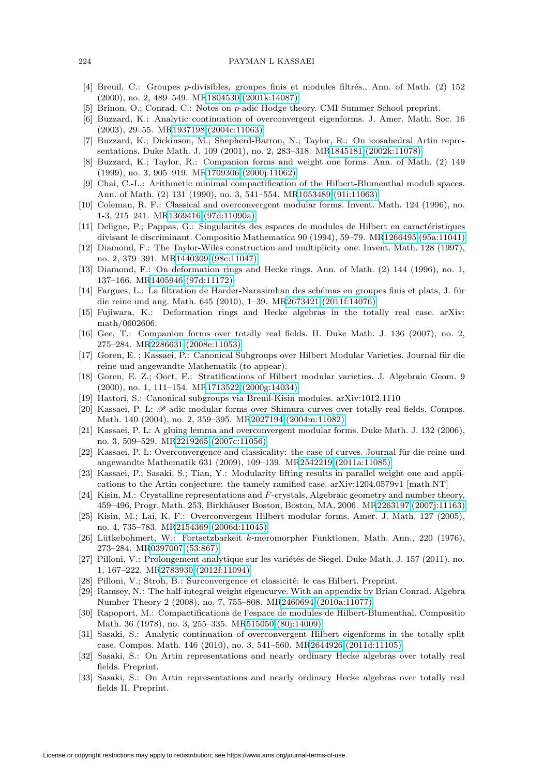- <span id="page-25-19"></span><span id="page-25-16"></span>[4] Breuil, C.: Groupes p-divisibles, groupes finis et modules filtrés., Ann. of Math. (2) 152 (2000), no. 2, 489–549. M[R1804530 \(2001k:14087\)](http://www.ams.org/mathscinet-getitem?mr=1804530)
- [5] Brinon, O.; Conrad, C.: Notes on p-adic Hodge theory. CMI Summer School preprint.
- [6] Buzzard, K.: Analytic continuation of overconvergent eigenforms. J. Amer. Math. Soc. 16 (2003), 29–55. M[R1937198 \(2004c:11063\)](http://www.ams.org/mathscinet-getitem?mr=1937198)
- [7] Buzzard, K.; Dickinson, M.; Shepherd-Barron, N.; Taylor, R.: On icosahedral Artin representations. Duke Math. J. 109 (2001), no. 2, 283–318. M[R1845181 \(2002k:11078\)](http://www.ams.org/mathscinet-getitem?mr=1845181)
- <span id="page-25-0"></span>[8] Buzzard, K.; Taylor, R.: Companion forms and weight one forms. Ann. of Math. (2) 149 (1999), no. 3, 905–919. M[R1709306 \(2000j:11062\)](http://www.ams.org/mathscinet-getitem?mr=1709306)
- [9] Chai, C.-L.: Arithmetic minimal compactification of the Hilbert-Blumenthal moduli spaces. Ann. of Math. (2) 131 (1990), no. 3, 541–554. M[R1053489 \(91i:11063\)](http://www.ams.org/mathscinet-getitem?mr=1053489)
- [10] Coleman, R. F.: Classical and overconvergent modular forms. Invent. Math. 124 (1996), no. 1-3, 215–241. M[R1369416 \(97d:11090a\)](http://www.ams.org/mathscinet-getitem?mr=1369416)
- <span id="page-25-14"></span>[11] Deligne, P.; Pappas, G.: Singularités des espaces de modules de Hilbert en caractéristiques divisant le discriminant. Compositio Mathematica 90 (1994), 59–79. M[R1266495 \(95a:11041\)](http://www.ams.org/mathscinet-getitem?mr=1266495)
- [12] Diamond, F.: The Taylor-Wiles construction and multiplicity one. Invent. Math. 128 (1997), no. 2, 379–391. M[R1440309 \(98c:11047\)](http://www.ams.org/mathscinet-getitem?mr=1440309)
- <span id="page-25-1"></span>[13] Diamond, F.: On deformation rings and Hecke rings. Ann. of Math. (2) 144 (1996), no. 1, 137–166. M[R1405946 \(97d:11172\)](http://www.ams.org/mathscinet-getitem?mr=1405946)
- <span id="page-25-18"></span>[14] Fargues, L.: La filtration de Harder-Narasimhan des schémas en groupes finis et plats, J. für die reine und ang. Math. 645 (2010), 1–39. M[R2673421 \(2011f:14076\)](http://www.ams.org/mathscinet-getitem?mr=2673421)
- <span id="page-25-23"></span>[15] Fujiwara, K.: Deformation rings and Hecke algebras in the totally real case. arXiv: math/0602606.
- <span id="page-25-22"></span>[16] Gee, T.: Companion forms over totally real fields. II. Duke Math. J. 136 (2007), no. 2, 275–284. M[R2286631 \(2008e:11053\)](http://www.ams.org/mathscinet-getitem?mr=2286631)
- <span id="page-25-9"></span>[17] Goren, E.; Kassaei, P.: Canonical Subgroups over Hilbert Modular Varieties. Journal für die reine und angewandte Mathematik (to appear).
- <span id="page-25-13"></span>[18] Goren, E. Z.; Oort, F.: Stratifications of Hilbert modular varieties. J. Algebraic Geom. 9 (2000), no. 1, 111–154. M[R1713522 \(2000g:14034\)](http://www.ams.org/mathscinet-getitem?mr=1713522)
- <span id="page-25-10"></span>[19] Hattori, S.: Canonical subgroups via Breuil-Kisin modules. arXiv:1012.1110
- [20] Kassaei, P. L:  $\mathscr{P}\text{-}\mathrm{adic}$  modular forms over Shimura curves over totally real fields. Compos. Math. 140 (2004), no. 2, 359–395. M[R2027194 \(2004m:11082\)](http://www.ams.org/mathscinet-getitem?mr=2027194)
- <span id="page-25-2"></span>[21] Kassaei, P. L: A gluing lemma and overconvergent modular forms. Duke Math. J. 132 (2006), no. 3, 509–529. M[R2219265 \(2007c:11056\)](http://www.ams.org/mathscinet-getitem?mr=2219265)
- <span id="page-25-3"></span>[22] Kassaei, P. L: Overconvergence and classicality: the case of curves. Journal für die reine und angewandte Mathematik 631 (2009), 109–139. M[R2542219 \(2011a:11085\)](http://www.ams.org/mathscinet-getitem?mr=2542219)
- <span id="page-25-11"></span>[23] Kassaei, P.; Sasaki, S.; Tian, Y.: Modularity lifting results in parallel weight one and applications to the Artin conjecture: the tamely ramified case. arXiv:1204.0579v1 [math.NT]
- <span id="page-25-17"></span>[24] Kisin, M.: Crystalline representations and F-crystals, Algebraic geometry and number theory, 459–496, Progr. Math. 253, Birkhäuser Boston, Boston, MA, 2006. M[R2263197 \(2007j:11163\)](http://www.ams.org/mathscinet-getitem?mr=2263197)
- <span id="page-25-21"></span>[25] Kisin, M.; Lai, K. F.: Overconvergent Hilbert modular forms. Amer. J. Math. 127 (2005), no. 4, 735–783. M[R2154369 \(2006d:11045\)](http://www.ams.org/mathscinet-getitem?mr=2154369)
- <span id="page-25-15"></span>[26] L¨utkebohmert, W.: Fortsetzbarkeit k-meromorpher Funktionen, Math. Ann., 220 (1976), 273–284. M[R0397007 \(53:867\)](http://www.ams.org/mathscinet-getitem?mr=0397007)
- <span id="page-25-6"></span>[27] Pilloni, V.: Prolongement analytique sur les variétés de Siegel. Duke Math. J. 157 (2011), no. 1, 167–222. M[R2783930 \(2012f:11094\)](http://www.ams.org/mathscinet-getitem?mr=2783930)
- <span id="page-25-7"></span><span id="page-25-5"></span>[28] Pilloni, V.; Stroh, B.: Surconvergence et classicité: le cas Hilbert. Preprint.
- [29] Ramsey, N.: The half-integral weight eigencurve. With an appendix by Brian Conrad. Algebra Number Theory 2 (2008), no. 7, 755–808. M[R2460694 \(2010a:11077\)](http://www.ams.org/mathscinet-getitem?mr=2460694)
- <span id="page-25-20"></span>[30] Rapoport, M.: Compactifications de l'espace de modules de Hilbert-Blumenthal. Compositio Math. 36 (1978), no. 3, 255–335. M[R515050 \(80j:14009\)](http://www.ams.org/mathscinet-getitem?mr=515050)
- <span id="page-25-4"></span>[31] Sasaki, S.: Analytic continuation of overconvergent Hilbert eigenforms in the totally split case. Compos. Math. 146 (2010), no. 3, 541–560. M[R2644926 \(2011d:11105\)](http://www.ams.org/mathscinet-getitem?mr=2644926)
- <span id="page-25-8"></span>[32] Sasaki, S.: On Artin representations and nearly ordinary Hecke algebras over totally real fields. Preprint.
- <span id="page-25-12"></span>[33] Sasaki, S.: On Artin representations and nearly ordinary Hecke algebras over totally real fields II. Preprint.